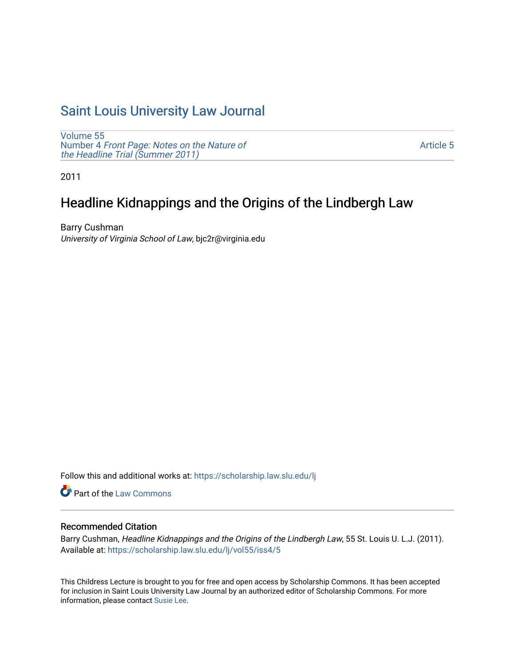# [Saint Louis University Law Journal](https://scholarship.law.slu.edu/lj)

[Volume 55](https://scholarship.law.slu.edu/lj/vol55) Number 4 [Front Page: Notes on the Nature of](https://scholarship.law.slu.edu/lj/vol55/iss4) [the Headline Trial \(Summer 2011\)](https://scholarship.law.slu.edu/lj/vol55/iss4)

[Article 5](https://scholarship.law.slu.edu/lj/vol55/iss4/5) 

2011

# Headline Kidnappings and the Origins of the Lindbergh Law

Barry Cushman University of Virginia School of Law, bjc2r@virginia.edu

Follow this and additional works at: [https://scholarship.law.slu.edu/lj](https://scholarship.law.slu.edu/lj?utm_source=scholarship.law.slu.edu%2Flj%2Fvol55%2Fiss4%2F5&utm_medium=PDF&utm_campaign=PDFCoverPages) 

**Part of the [Law Commons](http://network.bepress.com/hgg/discipline/578?utm_source=scholarship.law.slu.edu%2Flj%2Fvol55%2Fiss4%2F5&utm_medium=PDF&utm_campaign=PDFCoverPages)** 

# Recommended Citation

Barry Cushman, Headline Kidnappings and the Origins of the Lindbergh Law, 55 St. Louis U. L.J. (2011). Available at: [https://scholarship.law.slu.edu/lj/vol55/iss4/5](https://scholarship.law.slu.edu/lj/vol55/iss4/5?utm_source=scholarship.law.slu.edu%2Flj%2Fvol55%2Fiss4%2F5&utm_medium=PDF&utm_campaign=PDFCoverPages) 

This Childress Lecture is brought to you for free and open access by Scholarship Commons. It has been accepted for inclusion in Saint Louis University Law Journal by an authorized editor of Scholarship Commons. For more information, please contact [Susie Lee](mailto:susie.lee@slu.edu).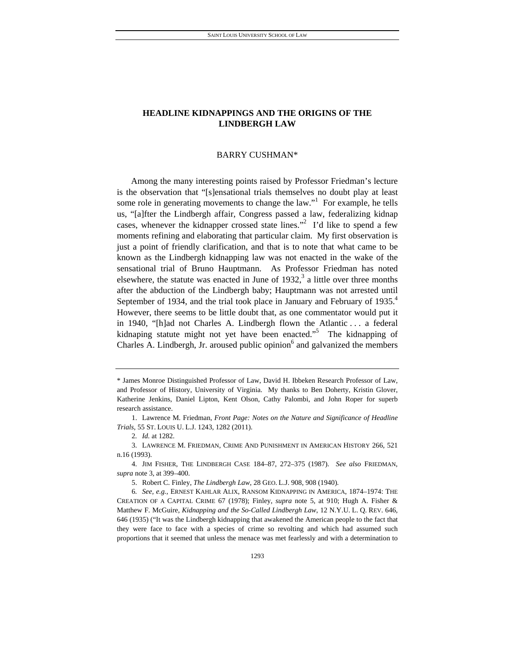# BARRY CUSHMAN\*

Among the many interesting points raised by Professor Friedman's lecture is the observation that "[s]ensational trials themselves no doubt play at least some role in generating movements to change the law."<sup>1</sup> For example, he tells us, "[a]fter the Lindbergh affair, Congress passed a law, federalizing kidnap cases, whenever the kidnapper crossed state lines.<sup> $\frac{1}{2}$ </sup> I'd like to spend a few moments refining and elaborating that particular claim. My first observation is just a point of friendly clarification, and that is to note that what came to be known as the Lindbergh kidnapping law was not enacted in the wake of the sensational trial of Bruno Hauptmann. As Professor Friedman has noted elsewhere, the statute was enacted in June of  $1932$ , a little over three months after the abduction of the Lindbergh baby; Hauptmann was not arrested until September of 1934, and the trial took place in January and February of 1935.<sup>4</sup> However, there seems to be little doubt that, as one commentator would put it in 1940, "[h]ad not Charles A. Lindbergh flown the Atlantic . . . a federal kidnaping statute might not yet have been enacted."<sup>5</sup> The kidnapping of Charles A. Lindbergh, Jr. aroused public opinion $<sup>6</sup>$  and galvanized the members</sup>

<sup>\*</sup> James Monroe Distinguished Professor of Law, David H. Ibbeken Research Professor of Law, and Professor of History, University of Virginia. My thanks to Ben Doherty, Kristin Glover, Katherine Jenkins, Daniel Lipton, Kent Olson, Cathy Palombi, and John Roper for superb research assistance.

 <sup>1.</sup> Lawrence M. Friedman, *Front Page: Notes on the Nature and Significance of Headline Trials*, 55 ST. LOUIS U. L.J. 1243, 1282 (2011).

<sup>2</sup>*. Id.* at 1282.

 <sup>3.</sup> LAWRENCE M. FRIEDMAN, CRIME AND PUNISHMENT IN AMERICAN HISTORY 266, 521 n.16 (1993).

 <sup>4.</sup> JIM FISHER, THE LINDBERGH CASE 184–87, 272–375 (1987). *See also* FRIEDMAN, *supra* note 3, at 399–400.

 <sup>5.</sup> Robert C. Finley, *The Lindbergh Law*, 28 GEO. L.J. 908, 908 (1940).

<sup>6</sup>*. See, e.g.*, ERNEST KAHLAR ALIX, RANSOM KIDNAPPING IN AMERICA, 1874–1974: THE CREATION OF A CAPITAL CRIME 67 (1978); Finley, *supra* note 5, at 910; Hugh A. Fisher & Matthew F. McGuire, *Kidnapping and the So-Called Lindbergh Law*, 12 N.Y.U. L. Q. REV. 646, 646 (1935) ("It was the Lindbergh kidnapping that awakened the American people to the fact that they were face to face with a species of crime so revolting and which had assumed such proportions that it seemed that unless the menace was met fearlessly and with a determination to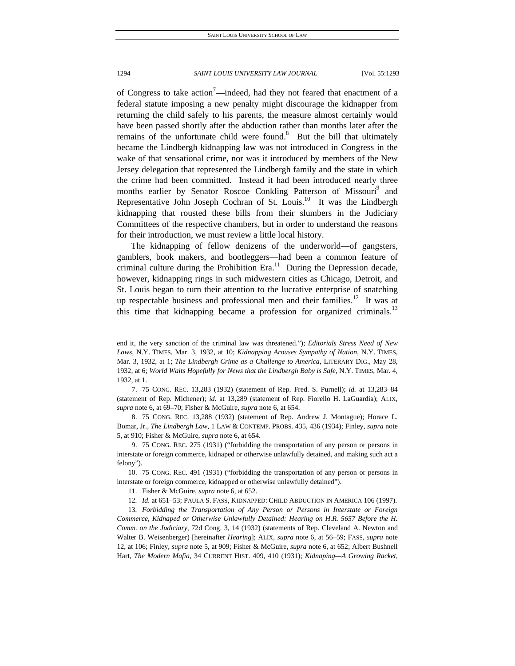of Congress to take action<sup>7</sup>—indeed, had they not feared that enactment of a federal statute imposing a new penalty might discourage the kidnapper from returning the child safely to his parents, the measure almost certainly would have been passed shortly after the abduction rather than months later after the remains of the unfortunate child were found.<sup>8</sup> But the bill that ultimately became the Lindbergh kidnapping law was not introduced in Congress in the wake of that sensational crime, nor was it introduced by members of the New Jersey delegation that represented the Lindbergh family and the state in which the crime had been committed. Instead it had been introduced nearly three months earlier by Senator Roscoe Conkling Patterson of Missouri<sup>9</sup> and Representative John Joseph Cochran of St. Louis.<sup>10</sup> It was the Lindbergh kidnapping that rousted these bills from their slumbers in the Judiciary Committees of the respective chambers, but in order to understand the reasons for their introduction, we must review a little local history.

The kidnapping of fellow denizens of the underworld—of gangsters, gamblers, book makers, and bootleggers—had been a common feature of criminal culture during the Prohibition Era.<sup>11</sup> During the Depression decade, however, kidnapping rings in such midwestern cities as Chicago, Detroit, and St. Louis began to turn their attention to the lucrative enterprise of snatching up respectable business and professional men and their families.<sup>12</sup> It was at this time that kidnapping became a profession for organized criminals.<sup>13</sup>

 7. 75 CONG. REC. 13,283 (1932) (statement of Rep. Fred. S. Purnell); *id.* at 13,283–84 (statement of Rep. Michener); *id.* at 13,289 (statement of Rep. Fiorello H. LaGuardia); ALIX, *supra* note 6, at 69–70; Fisher & McGuire, *supra* note 6, at 654.

 8. 75 CONG. REC. 13,288 (1932) (statement of Rep. Andrew J. Montague); Horace L. Bomar, Jr., *The Lindbergh Law*, 1 LAW & CONTEMP. PROBS. 435, 436 (1934); Finley, *supra* note 5, at 910; Fisher & McGuire, *supra* note 6, at 654.

 9. 75 CONG. REC. 275 (1931) ("forbidding the transportation of any person or persons in interstate or foreign commerce, kidnaped or otherwise unlawfully detained, and making such act a felony").

 10. 75 CONG. REC. 491 (1931) ("forbidding the transportation of any person or persons in interstate or foreign commerce, kidnapped or otherwise unlawfully detained").

11. Fisher & McGuire, *supra* note 6, at 652.

12*. Id.* at 651–53; PAULA S. FASS, KIDNAPPED: CHILD ABDUCTION IN AMERICA 106 (1997).

13*. Forbidding the Transportation of Any Person or Persons in Interstate or Foreign Commerce, Kidnaped or Otherwise Unlawfully Detained: Hearing on H.R. 5657 Before the H. Comm. on the Judiciary*, 72d Cong. 3, 14 (1932) (statements of Rep. Cleveland A. Newton and Walter B. Weisenberger) [hereinafter *Hearing*]; ALIX, *supra* note 6, at 56–59; FASS, *supra* note 12, at 106; Finley, *supra* note 5, at 909; Fisher & McGuire, *supra* note 6, at 652; Albert Bushnell Hart, *The Modern Mafia*, 34 CURRENT HIST. 409, 410 (1931); *Kidnaping—A Growing Racket*,

end it, the very sanction of the criminal law was threatened."); *Editorials Stress Need of New Laws*, N.Y. TIMES, Mar. 3, 1932, at 10; *Kidnapping Arouses Sympathy of Nation*, N.Y. TIMES, Mar. 3, 1932, at 1; *The Lindbergh Crime as a Challenge to America*, LITERARY DIG., May 28, 1932, at 6; *World Waits Hopefully for News that the Lindbergh Baby is Safe*, N.Y. TIMES, Mar. 4, 1932, at 1.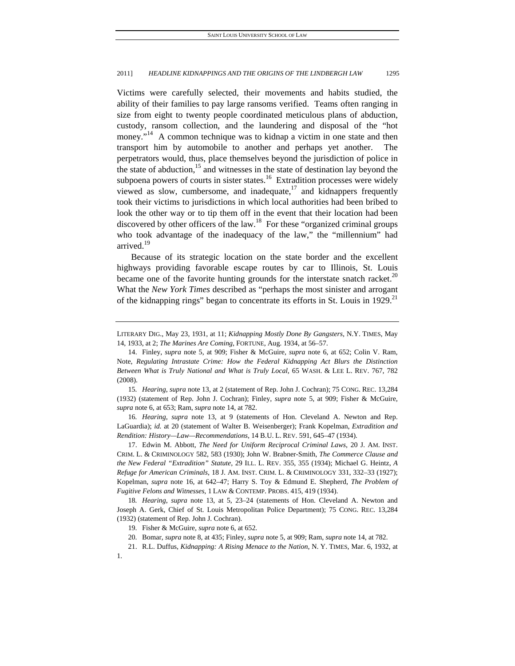Victims were carefully selected, their movements and habits studied, the ability of their families to pay large ransoms verified. Teams often ranging in size from eight to twenty people coordinated meticulous plans of abduction, custody, ransom collection, and the laundering and disposal of the "hot money."<sup>14</sup> A common technique was to kidnap a victim in one state and then transport him by automobile to another and perhaps yet another. The perpetrators would, thus, place themselves beyond the jurisdiction of police in the state of abduction, $15$  and witnesses in the state of destination lay beyond the subpoena powers of courts in sister states.<sup>16</sup> Extradition processes were widely viewed as slow, cumbersome, and inadequate, $^{17}$  and kidnappers frequently took their victims to jurisdictions in which local authorities had been bribed to look the other way or to tip them off in the event that their location had been discovered by other officers of the law.<sup>18</sup> For these "organized criminal groups" who took advantage of the inadequacy of the law," the "millennium" had arrived.<sup>19</sup>

Because of its strategic location on the state border and the excellent highways providing favorable escape routes by car to Illinois, St. Louis became one of the favorite hunting grounds for the interstate snatch racket. $20$ What the *New York Times* described as "perhaps the most sinister and arrogant of the kidnapping rings" began to concentrate its efforts in St. Louis in 1929.<sup>21</sup>

15*. Hearing*, *supra* note 13, at 2 (statement of Rep. John J. Cochran); 75 CONG. REC. 13,284 (1932) (statement of Rep. John J. Cochran); Finley, *supra* note 5, at 909; Fisher & McGuire, *supra* note 6, at 653; Ram, *supra* note 14, at 782.

16*. Hearing*, *supra* note 13, at 9 (statements of Hon. Cleveland A. Newton and Rep. LaGuardia); *id.* at 20 (statement of Walter B. Weisenberger); Frank Kopelman, *Extradition and Rendition: History—Law—Recommendations*, 14 B.U. L. REV. 591, 645–47 (1934).

 17. Edwin M. Abbott, *The Need for Uniform Reciprocal Criminal Laws*, 20 J. AM. INST. CRIM. L. & CRIMINOLOGY 582, 583 (1930); John W. Brabner-Smith, *The Commerce Clause and the New Federal "Extradition" Statute*, 29 ILL. L. REV. 355, 355 (1934); Michael G. Heintz, *A Refuge for American Criminals*, 18 J. AM. INST. CRIM. L. & CRIMINOLOGY 331, 332–33 (1927); Kopelman, *supra* note 16, at 642–47; Harry S. Toy & Edmund E. Shepherd, *The Problem of Fugitive Felons and Witnesses*, 1 LAW & CONTEMP. PROBS. 415, 419 (1934).

18*. Hearing*, *supra* note 13, at 5, 23–24 (statements of Hon. Cleveland A. Newton and Joseph A. Gerk, Chief of St. Louis Metropolitan Police Department); 75 CONG. REC. 13,284 (1932) (statement of Rep. John J. Cochran).

LITERARY DIG., May 23, 1931, at 11; *Kidnapping Mostly Done By Gangsters*, N.Y. TIMES, May 14, 1933, at 2; *The Marines Are Coming*, FORTUNE, Aug. 1934, at 56–57.

 <sup>14.</sup> Finley, *supra* note 5, at 909; Fisher & McGuire, *supra* note 6, at 652; Colin V. Ram, Note, *Regulating Intrastate Crime: How the Federal Kidnapping Act Blurs the Distinction Between What is Truly National and What is Truly Local*, 65 WASH. & LEE L. REV. 767, 782 (2008).

 <sup>19.</sup> Fisher & McGuire, *supra* note 6, at 652.

 <sup>20.</sup> Bomar, *supra* note 8, at 435; Finley, *supra* note 5, at 909; Ram, *supra* note 14, at 782.

 <sup>21.</sup> R.L. Duffus, *Kidnapping: A Rising Menace to the Nation*, N. Y. TIMES, Mar. 6, 1932, at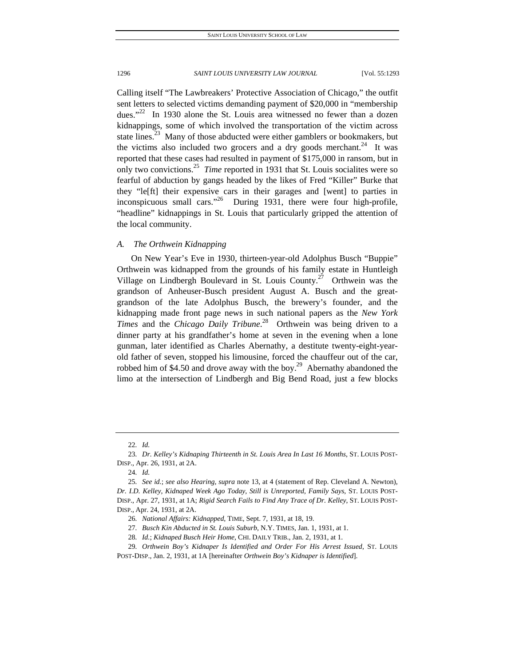Calling itself "The Lawbreakers' Protective Association of Chicago," the outfit sent letters to selected victims demanding payment of \$20,000 in "membership dues."<sup>22</sup> In 1930 alone the St. Louis area witnessed no fewer than a dozen kidnappings, some of which involved the transportation of the victim across state lines.<sup>23</sup> Many of those abducted were either gamblers or bookmakers, but the victims also included two grocers and a dry goods merchant.<sup>24</sup> It was reported that these cases had resulted in payment of \$175,000 in ransom, but in only two convictions.25 *Time* reported in 1931 that St. Louis socialites were so fearful of abduction by gangs headed by the likes of Fred "Killer" Burke that they "le[ft] their expensive cars in their garages and [went] to parties in inconspicuous small cars. $1931$ , there were four high-profile, "headline" kidnappings in St. Louis that particularly gripped the attention of the local community.

# *A. The Orthwein Kidnapping*

On New Year's Eve in 1930, thirteen-year-old Adolphus Busch "Buppie" Orthwein was kidnapped from the grounds of his family estate in Huntleigh Village on Lindbergh Boulevard in St. Louis County.<sup>27</sup> Orthwein was the grandson of Anheuser-Busch president August A. Busch and the greatgrandson of the late Adolphus Busch, the brewery's founder, and the kidnapping made front page news in such national papers as the *New York Times* and the *Chicago Daily Tribune*. 28 Orthwein was being driven to a dinner party at his grandfather's home at seven in the evening when a lone gunman, later identified as Charles Abernathy, a destitute twenty-eight-yearold father of seven, stopped his limousine, forced the chauffeur out of the car, robbed him of \$4.50 and drove away with the boy.<sup>29</sup> Abernathy abandoned the limo at the intersection of Lindbergh and Big Bend Road, just a few blocks

<sup>22</sup>*. Id.*

<sup>23</sup>*. Dr. Kelley's Kidnaping Thirteenth in St. Louis Area In Last 16 Months*, ST. LOUIS POST-DISP., Apr. 26, 1931, at 2A.

<sup>24</sup>*. Id.*

<sup>25</sup>*. See id.*; *see also Hearing*, *supra* note 13, at 4 (statement of Rep. Cleveland A. Newton), *Dr. I.D. Kelley, Kidnaped Week Ago Today, Still is Unreported, Family Says*, ST. LOUIS POST-DISP., Apr. 27, 1931, at 1A; *Rigid Search Fails to Find Any Trace of Dr. Kelley*, ST. LOUIS POST-DISP., Apr. 24, 1931, at 2A.

<sup>26</sup>*. National Affairs: Kidnapped*, TIME, Sept. 7, 1931, at 18, 19.

<sup>27</sup>*. Busch Kin Abducted in St. Louis Suburb*, N.Y. TIMES, Jan. 1, 1931, at 1.

<sup>28</sup>*. Id.*; *Kidnaped Busch Heir Home*, CHI. DAILY TRIB., Jan. 2, 1931, at 1.

<sup>29</sup>*. Orthwein Boy's Kidnaper Is Identified and Order For His Arrest Issued*, ST. LOUIS POST-DISP., Jan. 2, 1931, at 1A [hereinafter *Orthwein Boy's Kidnaper is Identified*].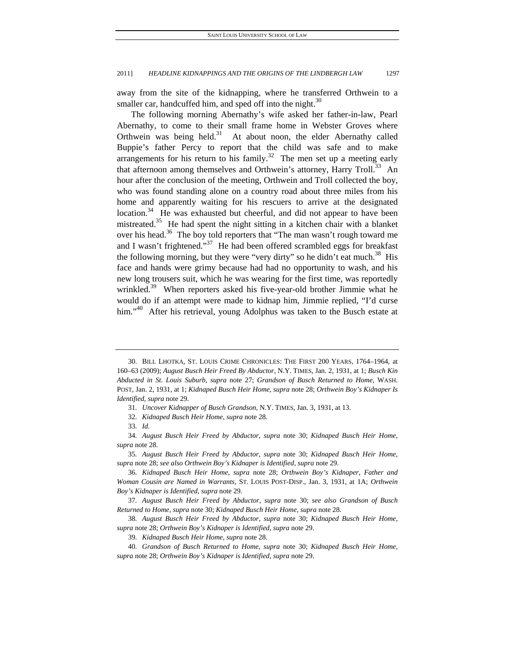away from the site of the kidnapping, where he transferred Orthwein to a smaller car, handcuffed him, and sped off into the night. $30$ 

The following morning Abernathy's wife asked her father-in-law, Pearl Abernathy, to come to their small frame home in Webster Groves where Orthwein was being held. $31$  At about noon, the elder Abernathy called Buppie's father Percy to report that the child was safe and to make arrangements for his return to his family.<sup>32</sup> The men set up a meeting early that afternoon among themselves and Orthwein's attorney, Harry Troll.<sup>33</sup> An hour after the conclusion of the meeting, Orthwein and Troll collected the boy, who was found standing alone on a country road about three miles from his home and apparently waiting for his rescuers to arrive at the designated location.<sup>34</sup> He was exhausted but cheerful, and did not appear to have been mistreated.<sup>35</sup> He had spent the night sitting in a kitchen chair with a blanket over his head.<sup>36</sup> The boy told reporters that "The man wasn't rough toward me and I wasn't frightened."<sup>37</sup> He had been offered scrambled eggs for breakfast the following morning, but they were "very dirty" so he didn't eat much.<sup>38</sup> His face and hands were grimy because had had no opportunity to wash, and his new long trousers suit, which he was wearing for the first time, was reportedly wrinkled.<sup>39</sup> When reporters asked his five-year-old brother Jimmie what he would do if an attempt were made to kidnap him, Jimmie replied, "I'd curse him."<sup>40</sup> After his retrieval, young Adolphus was taken to the Busch estate at

32*. Kidnaped Busch Heir Home*, *supra* note 28.

 <sup>30.</sup> BILL LHOTKA, ST. LOUIS CRIME CHRONICLES: THE FIRST 200 YEARS, 1764–1964, at 160–63 (2009); *August Busch Heir Freed By Abductor*, N.Y. TIMES, Jan. 2, 1931, at 1; *Busch Kin Abducted in St. Louis Suburb*, *supra* note 27; *Grandson of Busch Returned to Home*, WASH. POST, Jan. 2, 1931, at 1; *Kidnaped Busch Heir Home*, *supra* note 28; *Orthwein Boy's Kidnaper Is Identified*, *supra* note 29.

<sup>31</sup>*. Uncover Kidnapper of Busch Grandson*, N.Y. TIMES, Jan. 3, 1931, at 13.

<sup>33</sup>*. Id.*

<sup>34</sup>*. August Busch Heir Freed by Abductor*, *supra* note 30; *Kidnaped Busch Heir Home*, *supra* note 28.

<sup>35</sup>*. August Busch Heir Freed by Abductor*, *supra* note 30; *Kidnaped Busch Heir Home*, *supra* note 28; *see also Orthwein Boy's Kidnaper is Identified*, *supra* note 29.

<sup>36</sup>*. Kidnaped Busch Heir Home*, *supra* note 28; *Orthwein Boy's Kidnaper, Father and Woman Cousin are Named in Warrants*, ST. LOUIS POST-DISP., Jan. 3, 1931, at 1A; *Orthwein Boy's Kidnaper is Identified*, *supra* note 29.

<sup>37</sup>*. August Busch Heir Freed by Abductor*, *supra* note 30; *see also Grandson of Busch Returned to Home*, *supra* note 30; *Kidnaped Busch Heir Home*, *supra* note 28.

<sup>38</sup>*. August Busch Heir Freed by Abductor*, *supra* note 30; *Kidnaped Busch Heir Home*, *supra* note 28; *Orthwein Boy's Kidnaper is Identified*, *supra* note 29.

<sup>39</sup>*. Kidnaped Busch Heir Home*, *supra* note 28.

<sup>40</sup>*. Grandson of Busch Returned to Home*, *supra* note 30; *Kidnaped Busch Heir Home*, *supra* note 28; *Orthwein Boy's Kidnaper is Identified*, *supra* note 29.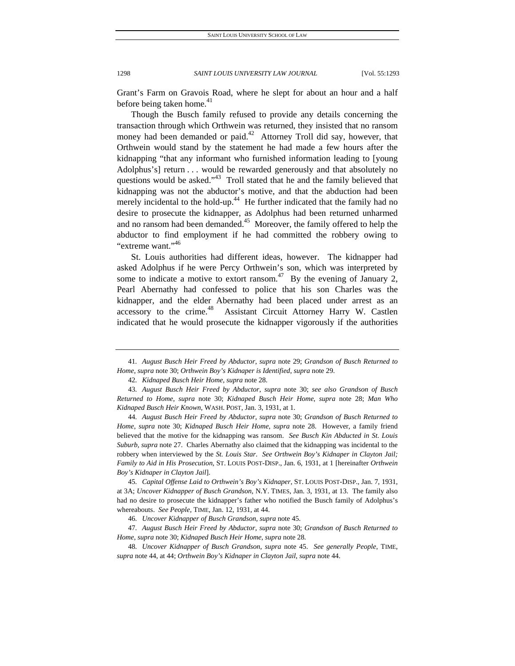Grant's Farm on Gravois Road, where he slept for about an hour and a half before being taken home.<sup>41</sup>

Though the Busch family refused to provide any details concerning the transaction through which Orthwein was returned, they insisted that no ransom money had been demanded or paid.<sup>42</sup> Attorney Troll did say, however, that Orthwein would stand by the statement he had made a few hours after the kidnapping "that any informant who furnished information leading to [young Adolphus's] return . . . would be rewarded generously and that absolutely no questions would be asked."<sup>43</sup> Troll stated that he and the family believed that kidnapping was not the abductor's motive, and that the abduction had been merely incidental to the hold-up. $44$  He further indicated that the family had no desire to prosecute the kidnapper, as Adolphus had been returned unharmed and no ransom had been demanded.<sup>45</sup> Moreover, the family offered to help the abductor to find employment if he had committed the robbery owing to "extreme want."<sup>46</sup>

St. Louis authorities had different ideas, however. The kidnapper had asked Adolphus if he were Percy Orthwein's son, which was interpreted by some to indicate a motive to extort ransom.<sup>47</sup> By the evening of January 2, Pearl Abernathy had confessed to police that his son Charles was the kidnapper, and the elder Abernathy had been placed under arrest as an accessory to the crime.<sup>48</sup> Assistant Circuit Attorney Harry W. Castlen indicated that he would prosecute the kidnapper vigorously if the authorities

44*. August Busch Heir Freed by Abductor*, *supra* note 30; *Grandson of Busch Returned to Home*, *supra* note 30; *Kidnaped Busch Heir Home*, *supra* note 28. However, a family friend believed that the motive for the kidnapping was ransom. *See Busch Kin Abducted in St. Louis Suburb*, *supra* note 27. Charles Abernathy also claimed that the kidnapping was incidental to the robbery when interviewed by the *St. Louis Star*. *See Orthwein Boy's Kidnaper in Clayton Jail; Family to Aid in His Prosecution*, ST. LOUIS POST-DISP., Jan. 6, 1931, at 1 [hereinafter *Orthwein Boy's Kidnaper in Clayton Jail*].

45*. Capital Offense Laid to Orthwein's Boy's Kidnaper*, ST. LOUIS POST-DISP., Jan. 7, 1931, at 3A; *Uncover Kidnapper of Busch Grandson*, N.Y. TIMES, Jan. 3, 1931, at 13. The family also had no desire to prosecute the kidnapper's father who notified the Busch family of Adolphus's whereabouts. *See People*, TIME, Jan. 12, 1931, at 44.

46*. Uncover Kidnapper of Busch Grandson*, *supra* note 45.

47*. August Busch Heir Freed by Abductor*, *supra* note 30; *Grandson of Busch Returned to Home*, *supra* note 30; *Kidnaped Busch Heir Home*, *supra* note 28.

<sup>41</sup>*. August Busch Heir Freed by Abductor*, *supra* note 29; *Grandson of Busch Returned to Home*, *supra* note 30; *Orthwein Boy's Kidnaper is Identified*, *supra* note 29.

<sup>42</sup>*. Kidnaped Busch Heir Home*, *supra* note 28.

<sup>43</sup>*. August Busch Heir Freed by Abductor*, *supra* note 30; *see also Grandson of Busch Returned to Home*, *supra* note 30; *Kidnaped Busch Heir Home*, *supra* note 28; *Man Who Kidnaped Busch Heir Known*, WASH. POST, Jan. 3, 1931, at 1.

<sup>48</sup>*. Uncover Kidnapper of Busch Grandson*, *supra* note 45. *See generally People*, TIME, *supra* note 44, at 44; *Orthwein Boy's Kidnaper in Clayton Jail*, *supra* note 44.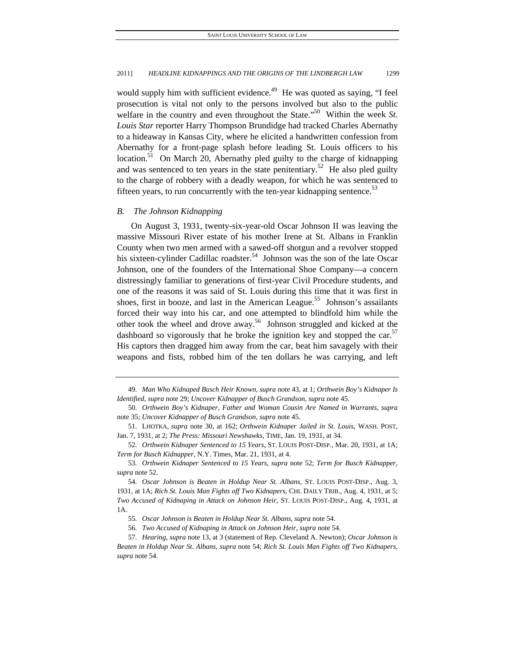would supply him with sufficient evidence.<sup>49</sup> He was quoted as saying, "I feel prosecution is vital not only to the persons involved but also to the public welfare in the country and even throughout the State."<sup>50</sup> Within the week *St*. *Louis Star* reporter Harry Thompson Brundidge had tracked Charles Abernathy to a hideaway in Kansas City, where he elicited a handwritten confession from Abernathy for a front-page splash before leading St. Louis officers to his location.<sup>51</sup> On March 20, Abernathy pled guilty to the charge of kidnapping and was sentenced to ten years in the state penitentiary.<sup>52</sup> He also pled guilty to the charge of robbery with a deadly weapon, for which he was sentenced to fifteen years, to run concurrently with the ten-year kidnapping sentence. $53$ 

## *B. The Johnson Kidnapping*

On August 3, 1931, twenty-six-year-old Oscar Johnson II was leaving the massive Missouri River estate of his mother Irene at St. Albans in Franklin County when two men armed with a sawed-off shotgun and a revolver stopped his sixteen-cylinder Cadillac roadster.<sup>54</sup> Johnson was the son of the late Oscar Johnson, one of the founders of the International Shoe Company—a concern distressingly familiar to generations of first-year Civil Procedure students, and one of the reasons it was said of St. Louis during this time that it was first in shoes, first in booze, and last in the American League.<sup>55</sup> Johnson's assailants forced their way into his car, and one attempted to blindfold him while the other took the wheel and drove away.<sup>56</sup> Johnson struggled and kicked at the dashboard so vigorously that he broke the ignition key and stopped the car.<sup>37</sup> His captors then dragged him away from the car, beat him savagely with their weapons and fists, robbed him of the ten dollars he was carrying, and left

<sup>49</sup>*. Man Who Kidnaped Busch Heir Known*, *supra* note 43, at 1; *Orthwein Boy's Kidnaper Is Identified*, *supra* note 29; *Uncover Kidnapper of Busch Grandson*, *supra* note 45.

<sup>50</sup>*. Orthwein Boy's Kidnaper, Father and Woman Cousin Are Named in Warrants*, *supra*  note 35; *Uncover Kidnapper of Busch Grandson*, *supra* note 45.

 <sup>51.</sup> LHOTKA, *supra* note 30, at 162; *Orthwein Kidnaper Jailed in St. Louis*, WASH. POST, Jan. 7, 1931, at 2; *The Press: Missouri Newshawks*, TIME, Jan. 19, 1931, at 34.

<sup>52</sup>*. Orthwein Kidnaper Sentenced to 15 Years*, ST. LOUIS POST-DISP., Mar. 20, 1931, at 1A; *Term for Busch Kidnapper*, N.Y. Times, Mar. 21, 1931, at 4.

<sup>53</sup>*. Orthwein Kidnaper Sentenced to 15 Years*, *supra* note 52; *Term for Busch Kidnapper*, *supra* note 52.

<sup>54</sup>*. Oscar Johnson is Beaten in Holdup Near St. Albans*, ST. LOUIS POST-DISP., Aug. 3, 1931, at 1A; *Rich St. Louis Man Fights off Two Kidnapers*, CHI. DAILY TRIB., Aug. 4, 1931, at 5; *Two Accused of Kidnaping in Attack on Johnson Heir*, ST. LOUIS POST-DISP., Aug. 4, 1931, at 1A.

<sup>55</sup>*. Oscar Johnson is Beaten in Holdup Near St. Albans*, *supra* note 54.

<sup>56</sup>*. Two Accused of Kidnaping in Attack on Johnson Heir*, *supra* note 54.

<sup>57</sup>*. Hearing*, *supra* note 13, at 3 (statement of Rep. Cleveland A. Newton); *Oscar Johnson is Beaten in Holdup Near St. Albans*, *supra* note 54; *Rich St. Louis Man Fights off Two Kidnapers*, *supra* note 54.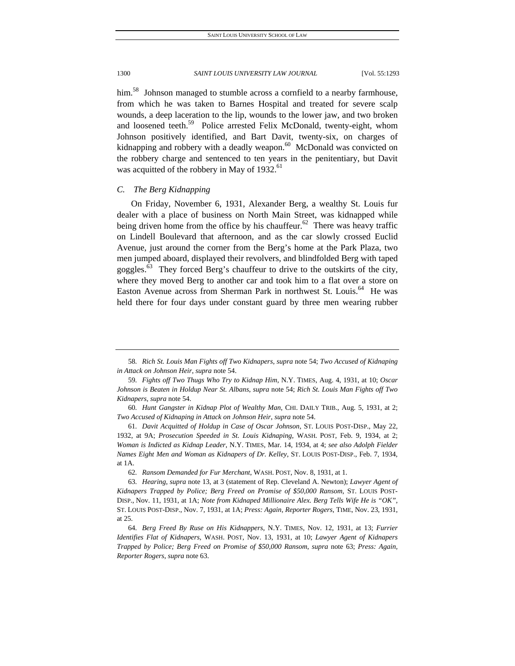him.<sup>58</sup> Johnson managed to stumble across a cornfield to a nearby farmhouse, from which he was taken to Barnes Hospital and treated for severe scalp wounds, a deep laceration to the lip, wounds to the lower jaw, and two broken and loosened teeth.<sup>59</sup> Police arrested Felix McDonald, twenty-eight, whom Johnson positively identified, and Bart Davit, twenty-six, on charges of kidnapping and robbery with a deadly weapon. $60$  McDonald was convicted on the robbery charge and sentenced to ten years in the penitentiary, but Davit was acquitted of the robbery in May of  $1932<sup>61</sup>$ 

# *C. The Berg Kidnapping*

On Friday, November 6, 1931, Alexander Berg, a wealthy St. Louis fur dealer with a place of business on North Main Street, was kidnapped while being driven home from the office by his chauffeur.<sup>62</sup> There was heavy traffic on Lindell Boulevard that afternoon, and as the car slowly crossed Euclid Avenue, just around the corner from the Berg's home at the Park Plaza, two men jumped aboard, displayed their revolvers, and blindfolded Berg with taped goggles. $63$  They forced Berg's chauffeur to drive to the outskirts of the city, where they moved Berg to another car and took him to a flat over a store on Easton Avenue across from Sherman Park in northwest St. Louis.<sup>64</sup> He was held there for four days under constant guard by three men wearing rubber

<sup>58</sup>*. Rich St. Louis Man Fights off Two Kidnapers*, *supra* note 54; *Two Accused of Kidnaping in Attack on Johnson Heir*, *supra* note 54.

<sup>59</sup>*. Fights off Two Thugs Who Try to Kidnap Him*, N.Y. TIMES, Aug. 4, 1931, at 10; *Oscar Johnson is Beaten in Holdup Near St. Albans*, *supra* note 54; *Rich St. Louis Man Fights off Two Kidnapers*, *supra* note 54.

<sup>60</sup>*. Hunt Gangster in Kidnap Plot of Wealthy Man*, CHI. DAILY TRIB., Aug. 5, 1931, at 2; *Two Accused of Kidnaping in Attack on Johnson Heir*, *supra* note 54.

<sup>61</sup>*. Davit Acquitted of Holdup in Case of Oscar Johnson*, ST. LOUIS POST-DISP., May 22, 1932, at 9A; *Prosecution Speeded in St. Louis Kidnaping*, WASH. POST, Feb. 9, 1934, at 2; *Woman is Indicted as Kidnap Leader*, N.Y. TIMES, Mar. 14, 1934, at 4; *see also Adolph Fielder Names Eight Men and Woman as Kidnapers of Dr. Kelley*, ST. LOUIS POST-DISP., Feb. 7, 1934, at 1A.

<sup>62</sup>*. Ransom Demanded for Fur Merchant*, WASH. POST, Nov. 8, 1931, at 1.

<sup>63</sup>*. Hearing*, *supra* note 13, at 3 (statement of Rep. Cleveland A. Newton); *Lawyer Agent of Kidnapers Trapped by Police; Berg Freed on Promise of \$50,000 Ransom*, ST. LOUIS POST-DISP., Nov. 11, 1931, at 1A; *Note from Kidnaped Millionaire Alex. Berg Tells Wife He is "OK"*, ST. LOUIS POST-DISP., Nov. 7, 1931, at 1A; *Press: Again, Reporter Rogers*, TIME, Nov. 23, 1931, at 25.

<sup>64</sup>*. Berg Freed By Ruse on His Kidnappers*, N.Y. TIMES, Nov. 12, 1931, at 13; *Furrier Identifies Flat of Kidnapers*, WASH. POST, Nov. 13, 1931, at 10; *Lawyer Agent of Kidnapers Trapped by Police; Berg Freed on Promise of \$50,000 Ransom*, *supra* note 63; *Press: Again, Reporter Rogers*, *supra* note 63.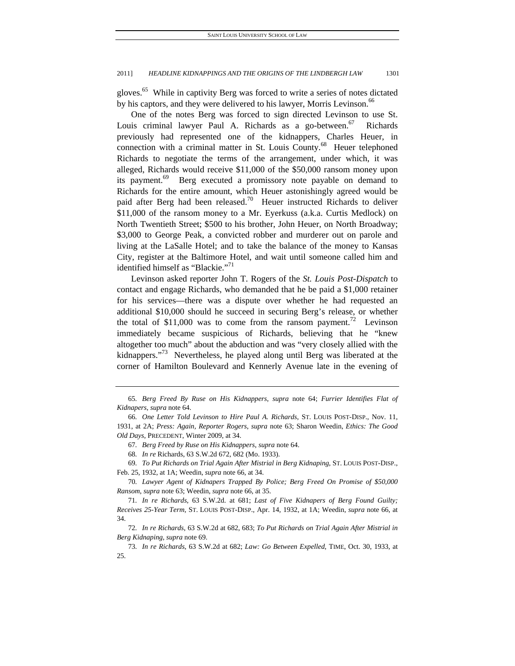gloves.<sup>65</sup> While in captivity Berg was forced to write a series of notes dictated by his captors, and they were delivered to his lawyer, Morris Levinson.<sup>66</sup>

One of the notes Berg was forced to sign directed Levinson to use St. Louis criminal lawyer Paul A. Richards as a go-between.<sup>67</sup> Richards previously had represented one of the kidnappers, Charles Heuer, in connection with a criminal matter in St. Louis County.<sup>68</sup> Heuer telephoned Richards to negotiate the terms of the arrangement, under which, it was alleged, Richards would receive \$11,000 of the \$50,000 ransom money upon its payment.<sup>69</sup> Berg executed a promissory note payable on demand to Richards for the entire amount, which Heuer astonishingly agreed would be paid after Berg had been released.<sup>70</sup> Heuer instructed Richards to deliver \$11,000 of the ransom money to a Mr. Eyerkuss (a.k.a. Curtis Medlock) on North Twentieth Street; \$500 to his brother, John Heuer, on North Broadway; \$3,000 to George Peak, a convicted robber and murderer out on parole and living at the LaSalle Hotel; and to take the balance of the money to Kansas City, register at the Baltimore Hotel, and wait until someone called him and identified himself as "Blackie."<sup>71</sup>

Levinson asked reporter John T. Rogers of the *St. Louis Post-Dispatch* to contact and engage Richards, who demanded that he be paid a \$1,000 retainer for his services—there was a dispute over whether he had requested an additional \$10,000 should he succeed in securing Berg's release, or whether the total of \$11,000 was to come from the ransom payment.<sup>72</sup> Levinson immediately became suspicious of Richards, believing that he "knew altogether too much" about the abduction and was "very closely allied with the kidnappers."<sup>73</sup> Nevertheless, he played along until Berg was liberated at the corner of Hamilton Boulevard and Kennerly Avenue late in the evening of

68*. In re* Richards, 63 S.W.2d 672, 682 (Mo. 1933).

69*. To Put Richards on Trial Again After Mistrial in Berg Kidnaping*, ST. LOUIS POST-DISP., Feb. 25, 1932, at 1A; Weedin, *supra* note 66, at 34.

70*. Lawyer Agent of Kidnapers Trapped By Police; Berg Freed On Promise of \$50,000 Ransom*, *supra* note 63; Weedin, *supra* note 66, at 35.

72*. In re Richards*, 63 S.W.2d at 682, 683; *To Put Richards on Trial Again After Mistrial in Berg Kidnaping*, *supra* note 69.

73*. In re Richards*, 63 S.W.2d at 682; *Law: Go Between Expelled*, TIME, Oct. 30, 1933, at 25.

<sup>65</sup>*. Berg Freed By Ruse on His Kidnappers*, *supra* note 64; *Furrier Identifies Flat of Kidnapers*, *supra* note 64.

<sup>66</sup>*. One Letter Told Levinson to Hire Paul A. Richards*, ST. LOUIS POST-DISP., Nov. 11, 1931, at 2A; *Press: Again, Reporter Rogers*, *supra* note 63; Sharon Weedin, *Ethics: The Good Old Days*, PRECEDENT, Winter 2009, at 34.

<sup>67</sup>*. Berg Freed by Ruse on His Kidnappers*, *supra* note 64.

<sup>71</sup>*. In re Richards*, 63 S.W.2d. at 681; *Last of Five Kidnapers of Berg Found Guilty; Receives 25-Year Term*, ST. LOUIS POST-DISP., Apr. 14, 1932, at 1A; Weedin, *supra* note 66, at 34.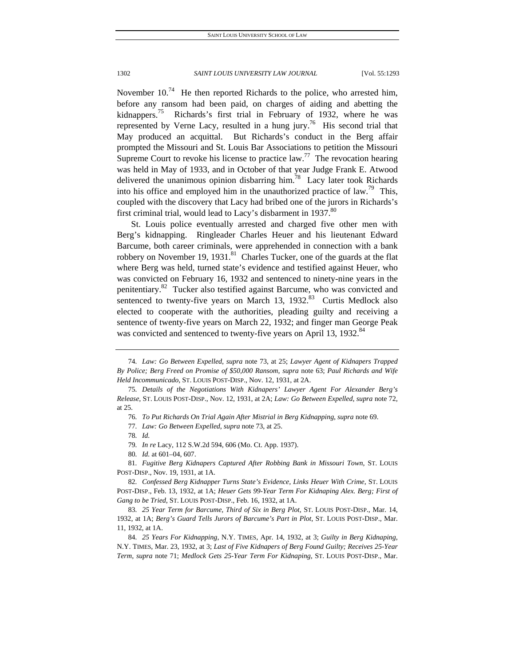November  $10^{74}$  He then reported Richards to the police, who arrested him, before any ransom had been paid, on charges of aiding and abetting the kidnappers.<sup>75</sup> Richards's first trial in February of 1932, where he was represented by Verne Lacy, resulted in a hung jury.<sup>76</sup> His second trial that May produced an acquittal. But Richards's conduct in the Berg affair prompted the Missouri and St. Louis Bar Associations to petition the Missouri Supreme Court to revoke his license to practice  $law<sup>77</sup>$ . The revocation hearing was held in May of 1933, and in October of that year Judge Frank E. Atwood delivered the unanimous opinion disbarring him.<sup>78</sup> Lacy later took Richards into his office and employed him in the unauthorized practice of law.<sup>79</sup> This, coupled with the discovery that Lacy had bribed one of the jurors in Richards's first criminal trial, would lead to Lacy's disbarment in 1937.<sup>80</sup>

St. Louis police eventually arrested and charged five other men with Berg's kidnapping. Ringleader Charles Heuer and his lieutenant Edward Barcume, both career criminals, were apprehended in connection with a bank robbery on November 19, 1931.<sup>81</sup> Charles Tucker, one of the guards at the flat where Berg was held, turned state's evidence and testified against Heuer, who was convicted on February 16, 1932 and sentenced to ninety-nine years in the penitentiary.<sup>82</sup> Tucker also testified against Barcume, who was convicted and sentenced to twenty-five years on March 13, 1932.<sup>83</sup> Curtis Medlock also elected to cooperate with the authorities, pleading guilty and receiving a sentence of twenty-five years on March 22, 1932; and finger man George Peak was convicted and sentenced to twenty-five years on April 13, 1932.<sup>84</sup>

- 79*. In re* Lacy, 112 S.W.2d 594, 606 (Mo. Ct. App. 1937).
- 80*. Id.* at 601–04, 607.

81*. Fugitive Berg Kidnapers Captured After Robbing Bank in Missouri Town*, ST. LOUIS POST-DISP., Nov. 19, 1931, at 1A.

82*. Confessed Berg Kidnapper Turns State's Evidence, Links Heuer With Crime*, ST. LOUIS POST-DISP., Feb. 13, 1932, at 1A; *Heuer Gets 99-Year Term For Kidnaping Alex. Berg; First of Gang to be Tried*, ST. LOUIS POST-DISP., Feb. 16, 1932, at 1A.

<sup>74</sup>*. Law: Go Between Expelled*, *supra* note 73, at 25; *Lawyer Agent of Kidnapers Trapped By Police; Berg Freed on Promise of \$50,000 Ransom*, *supra* note 63; *Paul Richards and Wife Held Incommunicado*, ST. LOUIS POST-DISP., Nov. 12, 1931, at 2A.

<sup>75</sup>*. Details of the Negotiations With Kidnapers' Lawyer Agent For Alexander Berg's Release*, ST. LOUIS POST-DISP., Nov. 12, 1931, at 2A; *Law: Go Between Expelled*, *supra* note 72, at 25.

<sup>76</sup>*. To Put Richards On Trial Again After Mistrial in Berg Kidnapping*, *supra* note 69.

<sup>77</sup>*. Law: Go Between Expelled*, *supra* note 73, at 25.

<sup>78</sup>*. Id.*

<sup>83</sup>*. 25 Year Term for Barcume, Third of Six in Berg Plot*, ST. LOUIS POST-DISP., Mar. 14, 1932, at 1A; *Berg's Guard Tells Jurors of Barcume's Part in Plot*, ST. LOUIS POST-DISP., Mar. 11, 1932, at 1A.

<sup>84</sup>*. 25 Years For Kidnapping*, N.Y. TIMES, Apr. 14, 1932, at 3; *Guilty in Berg Kidnaping*, N.Y. TIMES, Mar. 23, 1932, at 3; *Last of Five Kidnapers of Berg Found Guilty; Receives 25-Year Term*, *supra* note 71; *Medlock Gets 25-Year Term For Kidnaping*, ST. LOUIS POST-DISP., Mar.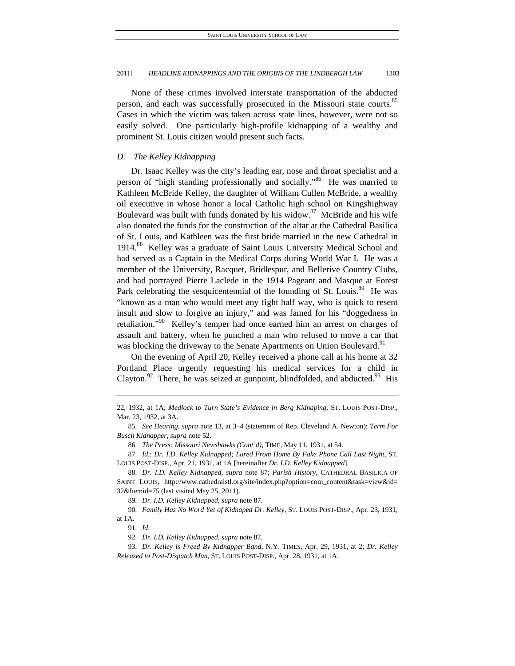None of these crimes involved interstate transportation of the abducted person, and each was successfully prosecuted in the Missouri state courts.<sup>85</sup> Cases in which the victim was taken across state lines, however, were not so easily solved. One particularly high-profile kidnapping of a wealthy and prominent St. Louis citizen would present such facts.

# *D. The Kelley Kidnapping*

Dr. Isaac Kelley was the city's leading ear, nose and throat specialist and a person of "high standing professionally and socially."<sup>86</sup> He was married to Kathleen McBride Kelley, the daughter of William Cullen McBride, a wealthy oil executive in whose honor a local Catholic high school on Kingshighway Boulevard was built with funds donated by his widow.<sup>87</sup> McBride and his wife also donated the funds for the construction of the altar at the Cathedral Basilica of St. Louis, and Kathleen was the first bride married in the new Cathedral in 1914.<sup>88</sup> Kelley was a graduate of Saint Louis University Medical School and had served as a Captain in the Medical Corps during World War I. He was a member of the University, Racquet, Bridlespur, and Bellerive Country Clubs, and had portrayed Pierre Laclede in the 1914 Pageant and Masque at Forest Park celebrating the sesquicentennial of the founding of St. Louis.<sup>89</sup> He was "known as a man who would meet any fight half way, who is quick to resent insult and slow to forgive an injury," and was famed for his "doggedness in retaliation."<sup>90</sup> Kelley's temper had once earned him an arrest on charges of assault and battery, when he punched a man who refused to move a car that was blocking the driveway to the Senate Apartments on Union Boulevard.<sup>91</sup>

On the evening of April 20, Kelley received a phone call at his home at 32 Portland Place urgently requesting his medical services for a child in Clayton.<sup>92</sup> There, he was seized at gunpoint, blindfolded, and abducted.<sup>93</sup> His

92*. Dr. I.D. Kelley Kidnapped*, *supra* note 87.

<sup>22, 1932,</sup> at 1A; *Medlock to Turn State's Evidence in Berg Kidnaping*, ST. LOUIS POST-DISP., Mar. 23, 1932, at 3A.

<sup>85</sup>*. See Hearing*, *supra* note 13, at 3–4 (statement of Rep. Cleveland A. Newton); *Term For Busch Kidnapper*, *supra* note 52.

<sup>86</sup>*. The Press: Missouri Newshawks (Cont'd)*, TIME, May 11, 1931, at 54.

<sup>87</sup>*. Id.*; *Dr. I.D. Kelley Kidnapped; Lured From Home By Fake Phone Call Last Night*, ST. LOUIS POST-DISP., Apr. 21, 1931, at 1A [hereinafter *Dr. I.D. Kelley Kidnapped*].

<sup>88</sup>*. Dr. I.D. Kelley Kidnapped*, *supra* note 87; *Parish History*, CATHEDRAL BASILICA OF SAINT LOUIS, http://www.cathedralstl.org/site/index.php?option=com\_content&task=view&id= 32&Itemid=75 (last visited May 25, 2011).

<sup>89</sup>*. Dr. I.D. Kelley Kidnapped*, *supra* note 87.

<sup>90</sup>*. Family Has No Word Yet of Kidnaped Dr. Kelley*, ST. LOUIS POST-DISP., Apr. 23, 1931, at 1A.

<sup>91</sup>*. Id.*

<sup>93</sup>*. Dr. Kelley is Freed By Kidnapper Band*, N.Y. TIMES, Apr. 29, 1931, at 2; *Dr. Kelley Released to Post-Dispatch Man*, ST. LOUIS POST-DISP., Apr. 28, 1931, at 1A.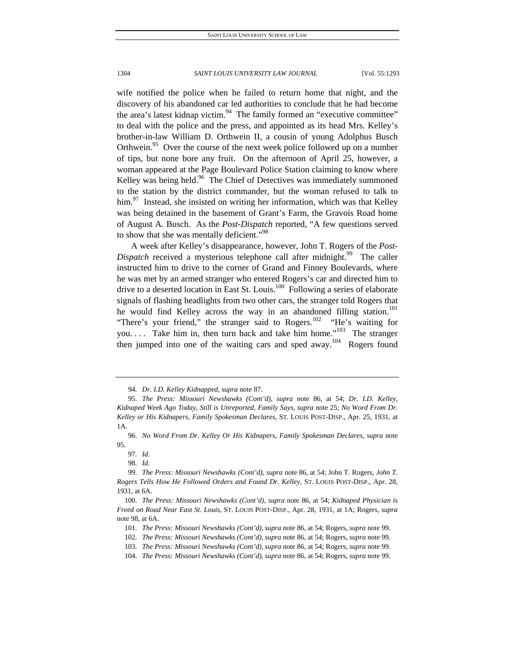wife notified the police when he failed to return home that night, and the discovery of his abandoned car led authorities to conclude that he had become the area's latest kidnap victim.<sup>94</sup> The family formed an "executive committee" to deal with the police and the press, and appointed as its head Mrs. Kelley's brother-in-law William D. Orthwein II, a cousin of young Adolphus Busch Orthwein.<sup>95</sup> Over the course of the next week police followed up on a number of tips, but none bore any fruit. On the afternoon of April 25, however, a woman appeared at the Page Boulevard Police Station claiming to know where Kelley was being held.<sup>96</sup> The Chief of Detectives was immediately summoned to the station by the district commander, but the woman refused to talk to him.<sup>97</sup> Instead, she insisted on writing her information, which was that Kelley was being detained in the basement of Grant's Farm, the Gravois Road home of August A. Busch. As the *Post-Dispatch* reported, "A few questions served to show that she was mentally deficient."<sup>98</sup>

A week after Kelley's disappearance, however, John T. Rogers of the *Post-Dispatch* received a mysterious telephone call after midnight.<sup>99</sup> The caller instructed him to drive to the corner of Grand and Finney Boulevards, where he was met by an armed stranger who entered Rogers's car and directed him to drive to a deserted location in East St. Louis.<sup>100</sup> Following a series of elaborate signals of flashing headlights from two other cars, the stranger told Rogers that he would find Kelley across the way in an abandoned filling station.<sup>101</sup> "There's your friend," the stranger said to Rogers.<sup>102</sup> "He's waiting for you.... Take him in, then turn back and take him home."<sup>103</sup> The stranger then jumped into one of the waiting cars and sped away.<sup>104</sup> Rogers found

<sup>94</sup>*. Dr. I.D. Kelley Kidnapped, supra* note 87.

<sup>95</sup>*. The Press: Missouri Newshawks (Cont'd)*, *supra* note 86, at 54; *Dr. I.D. Kelley, Kidnaped Week Ago Today, Still is Unreported, Family Says*, *supra* note 25; *No Word From Dr. Kelley or His Kidnapers, Family Spokesman Declares*, ST. LOUIS POST-DISP., Apr. 25, 1931, at 1A.

<sup>96</sup>*. No Word From Dr. Kelley Or His Kidnapers, Family Spokesman Declares*, *supra* note 95.

<sup>97</sup>*. Id.*

<sup>98</sup>*. Id.*

<sup>99</sup>*. The Press: Missouri Newshawks (Cont'd)*, *supra* note 86, at 54; John T. Rogers, *John T. Rogers Tells How He Followed Orders and Found Dr. Kelley*, ST. LOUIS POST-DISP., Apr. 28, 1931, at 6A.

<sup>100</sup>*. The Press: Missouri Newshawks (Cont'd)*, *supra* note 86, at 54; *Kidnaped Physician is Freed on Road Near East St. Louis*, ST. LOUIS POST-DISP., Apr. 28, 1931, at 1A; Rogers, *supra* note 98, at 6A.

<sup>101</sup>*. The Press: Missouri Newshawks (Cont'd)*, *supra* note 86, at 54; Rogers, *supra* note 99.

<sup>102</sup>*. The Press: Missouri Newshawks (Cont'd)*, *supra* note 86, at 54; Rogers, *supra* note 99.

<sup>103</sup>*. The Press: Missouri Newshawks (Cont'd)*, *supra* note 86, at 54; Rogers, *supra* note 99.

<sup>104</sup>*. The Press: Missouri Newshawks (Cont'd)*, *supra* note 86, at 54; Rogers, *supra* note 99.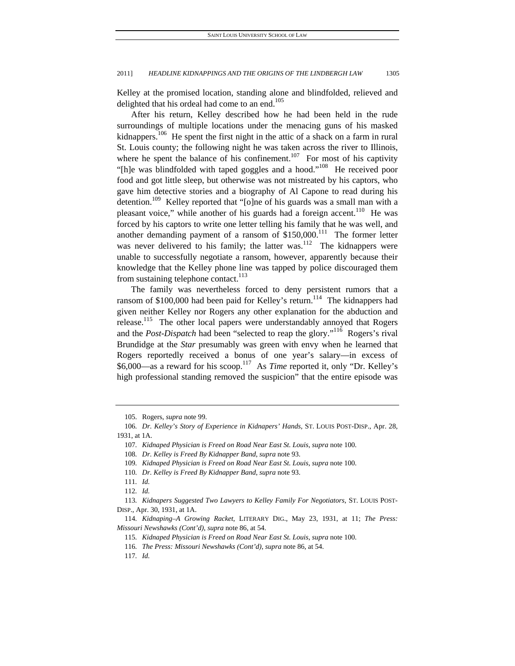Kelley at the promised location, standing alone and blindfolded, relieved and delighted that his ordeal had come to an end.<sup>105</sup>

After his return, Kelley described how he had been held in the rude surroundings of multiple locations under the menacing guns of his masked kidnappers.<sup>106</sup> He spent the first night in the attic of a shack on a farm in rural St. Louis county; the following night he was taken across the river to Illinois, where he spent the balance of his confinement.<sup>107</sup> For most of his captivity "[h]e was blindfolded with taped goggles and a hood."<sup>108</sup> He received poor food and got little sleep, but otherwise was not mistreated by his captors, who gave him detective stories and a biography of Al Capone to read during his detention.<sup>109</sup> Kelley reported that "[o]ne of his guards was a small man with a pleasant voice," while another of his guards had a foreign accent.<sup>110</sup> He was forced by his captors to write one letter telling his family that he was well, and another demanding payment of a ransom of  $$150,000$ .<sup>111</sup> The former letter was never delivered to his family; the latter was. $112$  The kidnappers were unable to successfully negotiate a ransom, however, apparently because their knowledge that the Kelley phone line was tapped by police discouraged them from sustaining telephone contact. $113$ 

The family was nevertheless forced to deny persistent rumors that a ransom of \$100,000 had been paid for Kelley's return.<sup>114</sup> The kidnappers had given neither Kelley nor Rogers any other explanation for the abduction and release.<sup>115</sup> The other local papers were understandably annoyed that Rogers and the *Post-Dispatch* had been "selected to reap the glory."116 Rogers's rival Brundidge at the *Star* presumably was green with envy when he learned that Rogers reportedly received a bonus of one year's salary—in excess of \$6,000—as a reward for his scoop.117 As *Time* reported it, only "Dr. Kelley's high professional standing removed the suspicion" that the entire episode was

 <sup>105.</sup> Rogers, *supra* note 99.

<sup>106</sup>*. Dr. Kelley's Story of Experience in Kidnapers' Hands*, ST. LOUIS POST-DISP., Apr. 28, 1931, at 1A.

<sup>107</sup>*. Kidnaped Physician is Freed on Road Near East St. Louis*, *supra* note 100.

<sup>108</sup>*. Dr. Kelley is Freed By Kidnapper Band*, *supra* note 93.

<sup>109</sup>*. Kidnaped Physician is Freed on Road Near East St. Louis*, *supra* note 100.

<sup>110</sup>*. Dr. Kelley is Freed By Kidnapper Band*, *supra* note 93.

<sup>111</sup>*. Id.*

<sup>112</sup>*. Id.*

<sup>113</sup>*. Kidnapers Suggested Two Lawyers to Kelley Family For Negotiators*, ST. LOUIS POST-DISP., Apr. 30, 1931, at 1A.

<sup>114</sup>*. Kidnaping–A Growing Racket*, LITERARY DIG., May 23, 1931, at 11; *The Press: Missouri Newshawks (Cont'd)*, *supra* note 86, at 54.

<sup>115</sup>*. Kidnaped Physician is Freed on Road Near East St. Louis*, *supra* note 100.

<sup>116</sup>*. The Press: Missouri Newshawks (Cont'd)*, *supra* note 86, at 54.

<sup>117</sup>*. Id.*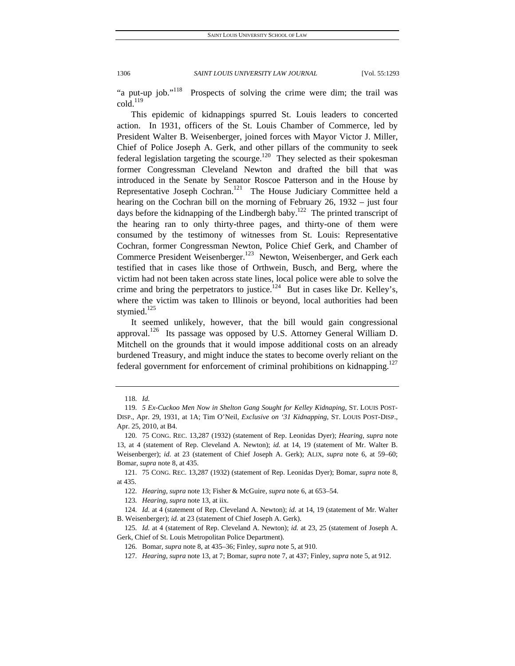"a put-up job."<sup>118</sup> Prospects of solving the crime were dim; the trail was  $\text{cold}$ . $^{119}$ 

This epidemic of kidnappings spurred St. Louis leaders to concerted action. In 1931, officers of the St. Louis Chamber of Commerce, led by President Walter B. Weisenberger, joined forces with Mayor Victor J. Miller, Chief of Police Joseph A. Gerk, and other pillars of the community to seek federal legislation targeting the scourge.<sup>120</sup> They selected as their spokesman former Congressman Cleveland Newton and drafted the bill that was introduced in the Senate by Senator Roscoe Patterson and in the House by Representative Joseph Cochran.<sup>121</sup> The House Judiciary Committee held a hearing on the Cochran bill on the morning of February 26, 1932 – just four days before the kidnapping of the Lindbergh baby.<sup>122</sup> The printed transcript of the hearing ran to only thirty-three pages, and thirty-one of them were consumed by the testimony of witnesses from St. Louis: Representative Cochran, former Congressman Newton, Police Chief Gerk, and Chamber of Commerce President Weisenberger.<sup>123</sup> Newton, Weisenberger, and Gerk each testified that in cases like those of Orthwein, Busch, and Berg, where the victim had not been taken across state lines, local police were able to solve the crime and bring the perpetrators to justice.<sup>124</sup> But in cases like Dr. Kelley's, where the victim was taken to Illinois or beyond, local authorities had been stymied.<sup>125</sup>

It seemed unlikely, however, that the bill would gain congressional approval.<sup>126</sup> Its passage was opposed by U.S. Attorney General William D. Mitchell on the grounds that it would impose additional costs on an already burdened Treasury, and might induce the states to become overly reliant on the federal government for enforcement of criminal prohibitions on kidnapping.<sup>127</sup>

<sup>118</sup>*. Id.*

<sup>119</sup>*. 5 Ex-Cuckoo Men Now in Shelton Gang Sought for Kelley Kidnaping*, ST. LOUIS POST-DISP., Apr. 29, 1931, at 1A; Tim O'Neil, *Exclusive on '31 Kidnapping*, ST. LOUIS POST-DISP., Apr. 25, 2010, at B4.

 <sup>120. 75</sup> CONG. REC. 13,287 (1932) (statement of Rep. Leonidas Dyer); *Hearing*, *supra* note 13, at 4 (statement of Rep. Cleveland A. Newton); *id.* at 14, 19 (statement of Mr. Walter B. Weisenberger); *id.* at 23 (statement of Chief Joseph A. Gerk); ALIX, *supra* note 6, at 59–60; Bomar, *supra* note 8, at 435.

 <sup>121. 75</sup> CONG. REC. 13,287 (1932) (statement of Rep. Leonidas Dyer); Bomar, *supra* note 8, at 435.

<sup>122</sup>*. Hearing*, *supra* note 13; Fisher & McGuire, *supra* note 6, at 653–54.

<sup>123</sup>*. Hearing*, *supra* note 13, at iix.

<sup>124</sup>*. Id.* at 4 (statement of Rep. Cleveland A. Newton); *id.* at 14, 19 (statement of Mr. Walter B. Weisenberger); *id.* at 23 (statement of Chief Joseph A. Gerk).

<sup>125</sup>*. Id.* at 4 (statement of Rep. Cleveland A. Newton); *id.* at 23, 25 (statement of Joseph A. Gerk, Chief of St. Louis Metropolitan Police Department).

 <sup>126.</sup> Bomar, *supra* note 8, at 435–36; Finley, *supra* note 5, at 910.

<sup>127</sup>*. Hearing*, *supra* note 13, at 7; Bomar, *supra* note 7, at 437; Finley, *supra* note 5, at 912.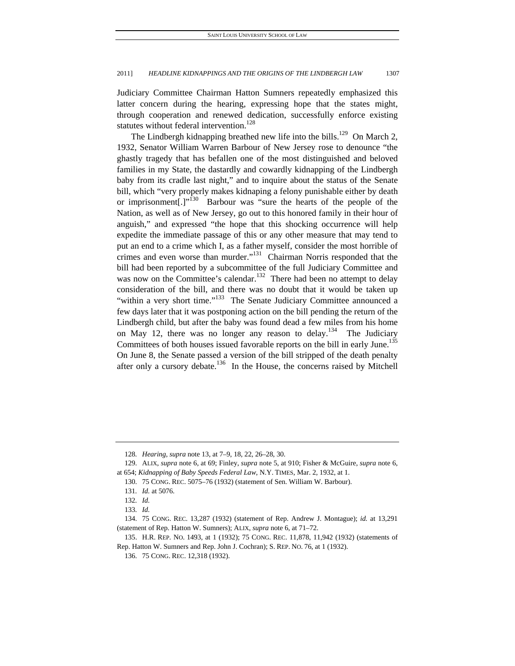Judiciary Committee Chairman Hatton Sumners repeatedly emphasized this latter concern during the hearing, expressing hope that the states might, through cooperation and renewed dedication, successfully enforce existing statutes without federal intervention.<sup>128</sup>

The Lindbergh kidnapping breathed new life into the bills.<sup>129</sup> On March 2, 1932, Senator William Warren Barbour of New Jersey rose to denounce "the ghastly tragedy that has befallen one of the most distinguished and beloved families in my State, the dastardly and cowardly kidnapping of the Lindbergh baby from its cradle last night," and to inquire about the status of the Senate bill, which "very properly makes kidnaping a felony punishable either by death or imprisonment[.] $v^{130}$  Barbour was "sure the hearts of the people of the Nation, as well as of New Jersey, go out to this honored family in their hour of anguish," and expressed "the hope that this shocking occurrence will help expedite the immediate passage of this or any other measure that may tend to put an end to a crime which I, as a father myself, consider the most horrible of crimes and even worse than murder."<sup>131</sup> Chairman Norris responded that the bill had been reported by a subcommittee of the full Judiciary Committee and was now on the Committee's calendar.<sup>132</sup> There had been no attempt to delay consideration of the bill, and there was no doubt that it would be taken up "within a very short time."<sup>133</sup> The Senate Judiciary Committee announced a few days later that it was postponing action on the bill pending the return of the Lindbergh child, but after the baby was found dead a few miles from his home on May 12, there was no longer any reason to delay.<sup>134</sup> The Judiciary Committees of both houses issued favorable reports on the bill in early June.<sup>135</sup> On June 8, the Senate passed a version of the bill stripped of the death penalty after only a cursory debate.<sup>136</sup> In the House, the concerns raised by Mitchell

<sup>128</sup>*. Hearing*, *supra* note 13, at 7–9, 18, 22, 26–28, 30.

 <sup>129.</sup> ALIX, *supra* note 6, at 69; Finley, *supra* note 5, at 910; Fisher & McGuire, *supra* note 6, at 654; *Kidnapping of Baby Speeds Federal Law*, N.Y. TIMES, Mar. 2, 1932, at 1.

 <sup>130. 75</sup> CONG. REC. 5075–76 (1932) (statement of Sen. William W. Barbour).

<sup>131</sup>*. Id.* at 5076.

<sup>132</sup>*. Id.*

<sup>133</sup>*. Id.*

 <sup>134. 75</sup> CONG. REC. 13,287 (1932) (statement of Rep. Andrew J. Montague); *id.* at 13,291 (statement of Rep. Hatton W. Sumners); ALIX, *supra* note 6, at 71–72.

 <sup>135.</sup> H.R. REP. NO. 1493, at 1 (1932); 75 CONG. REC. 11,878, 11,942 (1932) (statements of Rep. Hatton W. Sumners and Rep. John J. Cochran); S. REP. NO. 76, at 1 (1932).

 <sup>136. 75</sup> CONG. REC. 12,318 (1932).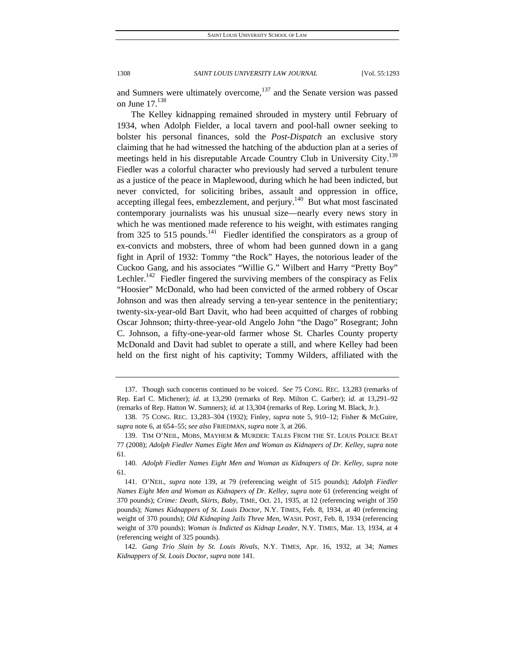and Sumners were ultimately overcome, $137$  and the Senate version was passed on June  $17.<sup>138</sup>$ 

The Kelley kidnapping remained shrouded in mystery until February of 1934, when Adolph Fielder, a local tavern and pool-hall owner seeking to bolster his personal finances, sold the *Post-Dispatch* an exclusive story claiming that he had witnessed the hatching of the abduction plan at a series of meetings held in his disreputable Arcade Country Club in University City.<sup>139</sup> Fiedler was a colorful character who previously had served a turbulent tenure as a justice of the peace in Maplewood, during which he had been indicted, but never convicted, for soliciting bribes, assault and oppression in office, accepting illegal fees, embezzlement, and perjury.<sup>140</sup> But what most fascinated contemporary journalists was his unusual size—nearly every news story in which he was mentioned made reference to his weight, with estimates ranging from 325 to 515 pounds.<sup>141</sup> Fiedler identified the conspirators as a group of ex-convicts and mobsters, three of whom had been gunned down in a gang fight in April of 1932: Tommy "the Rock" Hayes, the notorious leader of the Cuckoo Gang, and his associates "Willie G." Wilbert and Harry "Pretty Boy" Lechler.<sup>142</sup> Fiedler fingered the surviving members of the conspiracy as Felix "Hoosier" McDonald, who had been convicted of the armed robbery of Oscar Johnson and was then already serving a ten-year sentence in the penitentiary; twenty-six-year-old Bart Davit, who had been acquitted of charges of robbing Oscar Johnson; thirty-three-year-old Angelo John "the Dago" Rosegrant; John C. Johnson, a fifty-one-year-old farmer whose St. Charles County property McDonald and Davit had sublet to operate a still, and where Kelley had been held on the first night of his captivity; Tommy Wilders, affiliated with the

 <sup>137.</sup> Though such concerns continued to be voiced. *See* 75 CONG. REC. 13,283 (remarks of Rep. Earl C. Michener); *id.* at 13,290 (remarks of Rep. Milton C. Garber); *id.* at 13,291-92 (remarks of Rep. Hatton W. Sumners); *id.* at 13,304 (remarks of Rep. Loring M. Black, Jr.).

 <sup>138. 75</sup> CONG. REC. 13,283–304 (1932); Finley, *supra* note 5, 910–12; Fisher & McGuire, *supra* note 6, at 654–55; *see also* FRIEDMAN, *supra* note 3, at 266.

 <sup>139.</sup> TIM O'NEIL, MOBS, MAYHEM & MURDER: TALES FROM THE ST. LOUIS POLICE BEAT 77 (2008); *Adolph Fiedler Names Eight Men and Woman as Kidnapers of Dr. Kelley*, *supra* note 61.

<sup>140</sup>*. Adolph Fiedler Names Eight Men and Woman as Kidnapers of Dr. Kelley*, *supra* note 61.

 <sup>141.</sup> O'NEIL, *supra* note 139, at 79 (referencing weight of 515 pounds); *Adolph Fiedler Names Eight Men and Woman as Kidnapers of Dr. Kelley*, *supra* note 61 (referencing weight of 370 pounds); *Crime: Death, Skirts, Baby*, TIME, Oct. 21, 1935, at 12 (referencing weight of 350 pounds); *Names Kidnappers of St. Louis Doctor*, N.Y. TIMES, Feb. 8, 1934, at 40 (referencing weight of 370 pounds); *Old Kidnaping Jails Three Men*, WASH. POST, Feb. 8, 1934 (referencing weight of 370 pounds); *Woman is Indicted as Kidnap Leader*, N.Y. TIMES, Mar. 13, 1934, at 4 (referencing weight of 325 pounds).

<sup>142</sup>*. Gang Trio Slain by St. Louis Rivals*, N.Y. TIMES, Apr. 16, 1932, at 34; *Names Kidnappers of St. Louis Doctor*, *supra* note 141.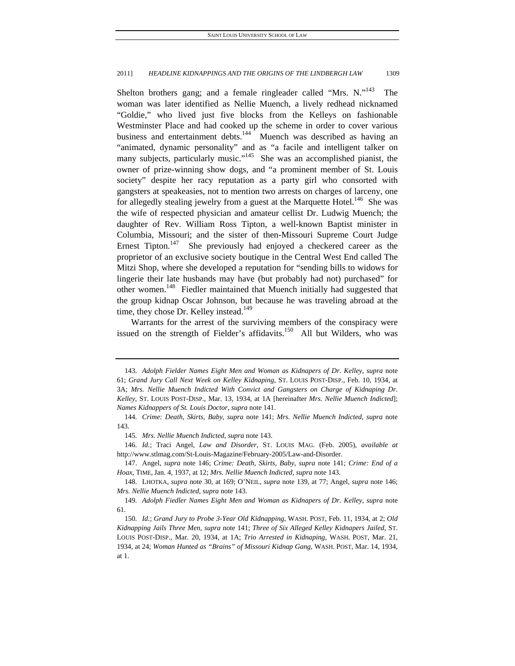Shelton brothers gang; and a female ringleader called "Mrs. N."<sup>143</sup> The woman was later identified as Nellie Muench, a lively redhead nicknamed "Goldie," who lived just five blocks from the Kelleys on fashionable Westminster Place and had cooked up the scheme in order to cover various business and entertainment debts. $144$  Muench was described as having an "animated, dynamic personality" and as "a facile and intelligent talker on many subjects, particularly music."<sup>145</sup> She was an accomplished pianist, the owner of prize-winning show dogs, and "a prominent member of St. Louis society" despite her racy reputation as a party girl who consorted with gangsters at speakeasies, not to mention two arrests on charges of larceny, one for allegedly stealing jewelry from a guest at the Marquette Hotel.<sup>146</sup> She was the wife of respected physician and amateur cellist Dr. Ludwig Muench; the daughter of Rev. William Ross Tipton, a well-known Baptist minister in Columbia, Missouri; and the sister of then-Missouri Supreme Court Judge Ernest Tipton.<sup>147</sup> She previously had enjoyed a checkered career as the proprietor of an exclusive society boutique in the Central West End called The Mitzi Shop, where she developed a reputation for "sending bills to widows for lingerie their late husbands may have (but probably had not) purchased" for other women.<sup>148</sup> Fiedler maintained that Muench initially had suggested that the group kidnap Oscar Johnson, but because he was traveling abroad at the time, they chose Dr. Kelley instead.<sup>149</sup>

Warrants for the arrest of the surviving members of the conspiracy were issued on the strength of Fielder's affidavits.<sup>150</sup> All but Wilders, who was

145*. Mrs. Nellie Muench Indicted*, *supra* note 143.

146*. Id.*; Traci Angel, *Law and Disorder*, ST. LOUIS MAG. (Feb. 2005), *available at* http://www.stlmag.com/St-Louis-Magazine/February-2005/Law-and-Disorder.

<sup>143</sup>*. Adolph Fielder Names Eight Men and Woman as Kidnapers of Dr. Kelley*, *supra* note 61; *Grand Jury Call Next Week on Kelley Kidnaping*, ST. LOUIS POST-DISP., Feb. 10, 1934, at 3A; *Mrs. Nellie Muench Indicted With Convict and Gangsters on Charge of Kidnaping Dr. Kelley*, ST. LOUIS POST-DISP., Mar. 13, 1934, at 1A [hereinafter *Mrs. Nellie Muench Indicted*]; *Names Kidnappers of St. Louis Doctor*, *supra* note 141.

<sup>144</sup>*. Crime: Death, Skirts, Baby*, *supra* note 141; *Mrs. Nellie Muench Indicted*, *supra* note 143.

 <sup>147.</sup> Angel, *supra* note 146; *Crime: Death, Skirts, Baby*, *supra* note 141; *Crime: End of a Hoax*, TIME*,* Jan. 4, 1937, at 12; *Mrs. Nellie Muench Indicted*, *supra* note 143.

 <sup>148.</sup> LHOTKA, *supra* note 30, at 169; O'NEIL, *supra* note 139, at 77; Angel, *supra* note 146; *Mrs. Nellie Muench Indicted*, *supra* note 143.

<sup>149</sup>*. Adolph Fiedler Names Eight Men and Woman as Kidnapers of Dr. Kelley*, *supra* note 61.

<sup>150</sup>*. Id.*; *Grand Jury to Probe 3-Year Old Kidnapping*, WASH. POST, Feb. 11, 1934, at 2; *Old Kidnapping Jails Three Men*, *supra* note 141; *Three of Six Alleged Kelley Kidnapers Jailed*, ST. LOUIS POST-DISP., Mar. 20, 1934, at 1A; *Trio Arrested in Kidnaping*, WASH. POST, Mar. 21, 1934, at 24; *Woman Hunted as "Brains" of Missouri Kidnap Gang*, WASH. POST, Mar. 14, 1934, at 1.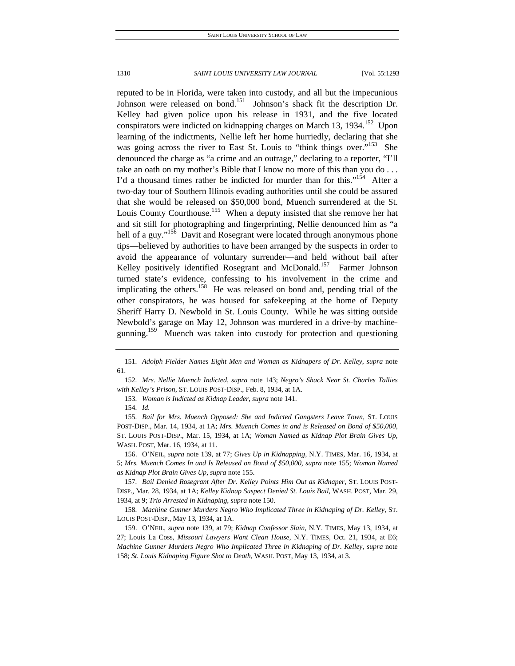reputed to be in Florida, were taken into custody, and all but the impecunious Johnson were released on bond.<sup>151</sup> Johnson's shack fit the description Dr. Kelley had given police upon his release in 1931, and the five located conspirators were indicted on kidnapping charges on March 13, 1934.<sup>152</sup> Upon learning of the indictments, Nellie left her home hurriedly, declaring that she was going across the river to East St. Louis to "think things over."<sup>153</sup> She denounced the charge as "a crime and an outrage," declaring to a reporter, "I'll take an oath on my mother's Bible that I know no more of this than you do . . . I'd a thousand times rather be indicted for murder than for this."<sup>154</sup> After a two-day tour of Southern Illinois evading authorities until she could be assured that she would be released on \$50,000 bond, Muench surrendered at the St. Louis County Courthouse.<sup>155</sup> When a deputy insisted that she remove her hat and sit still for photographing and fingerprinting, Nellie denounced him as "a hell of a guy."<sup>156</sup> Davit and Rosegrant were located through anonymous phone tips—believed by authorities to have been arranged by the suspects in order to avoid the appearance of voluntary surrender—and held without bail after Kelley positively identified Rosegrant and McDonald.<sup>157</sup> Farmer Johnson turned state's evidence, confessing to his involvement in the crime and implicating the others.<sup>158</sup> He was released on bond and, pending trial of the other conspirators, he was housed for safekeeping at the home of Deputy Sheriff Harry D. Newbold in St. Louis County. While he was sitting outside Newbold's garage on May 12, Johnson was murdered in a drive-by machinegunning.<sup>159</sup> Muench was taken into custody for protection and questioning

152*. Mrs. Nellie Muench Indicted*, *supra* note 143; *Negro's Shack Near St. Charles Tallies with Kelley's Prison*, ST. LOUIS POST-DISP., Feb. 8, 1934, at 1A.

153*. Woman is Indicted as Kidnap Leader*, *supra* note 141.

154*. Id.*

155*. Bail for Mrs. Muench Opposed: She and Indicted Gangsters Leave Town*, ST. LOUIS POST-DISP., Mar. 14, 1934, at 1A; *Mrs. Muench Comes in and is Released on Bond of \$50,000*, ST. LOUIS POST-DISP., Mar. 15, 1934, at 1A; *Woman Named as Kidnap Plot Brain Gives Up*, WASH. POST, Mar. 16, 1934, at 11.

 156. O'NEIL*, supra* note 139, at 77; *Gives Up in Kidnapping*, N.Y. TIMES, Mar. 16, 1934, at 5; *Mrs. Muench Comes In and Is Released on Bond of \$50,000*, *supra* note 155; *Woman Named as Kidnap Plot Brain Gives Up*, *supra* note 155.

157*. Bail Denied Rosegrant After Dr. Kelley Points Him Out as Kidnaper*, ST. LOUIS POST-DISP., Mar. 28, 1934, at 1A; *Kelley Kidnap Suspect Denied St. Louis Bail*, WASH. POST, Mar. 29, 1934, at 9; *Trio Arrested in Kidnaping*, *supra* note 150.

158*. Machine Gunner Murders Negro Who Implicated Three in Kidnaping of Dr. Kelley*, ST. LOUIS POST-DISP., May 13, 1934, at 1A.

 159. O'NEIL, *supra* note 139, at 79; *Kidnap Confessor Slain*, N.Y. TIMES, May 13, 1934, at 27; Louis La Coss, *Missouri Lawyers Want Clean House*, N.Y. TIMES, Oct. 21, 1934, at E6; *Machine Gunner Murders Negro Who Implicated Three in Kidnaping of Dr. Kelley*, *supra* note 158; *St. Louis Kidnaping Figure Shot to Death*, WASH. POST, May 13, 1934, at 3.

<sup>151</sup>*. Adolph Fielder Names Eight Men and Woman as Kidnapers of Dr. Kelley*, *supra* note 61.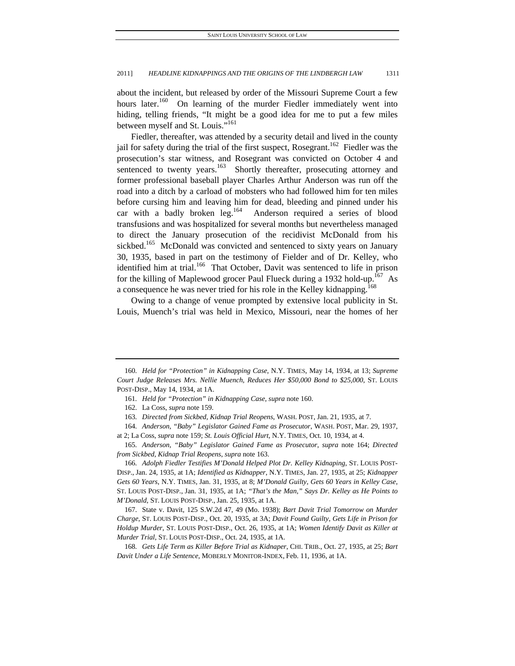about the incident, but released by order of the Missouri Supreme Court a few hours later.<sup>160</sup> On learning of the murder Fiedler immediately went into hiding, telling friends, "It might be a good idea for me to put a few miles between myself and St. Louis."<sup>161</sup>

Fiedler, thereafter, was attended by a security detail and lived in the county jail for safety during the trial of the first suspect, Rosegrant.<sup>162</sup> Fiedler was the prosecution's star witness, and Rosegrant was convicted on October 4 and sentenced to twenty years. $163$  Shortly thereafter, prosecuting attorney and former professional baseball player Charles Arthur Anderson was run off the road into a ditch by a carload of mobsters who had followed him for ten miles before cursing him and leaving him for dead, bleeding and pinned under his car with a badly broken leg.<sup>164</sup> Anderson required a series of blood transfusions and was hospitalized for several months but nevertheless managed to direct the January prosecution of the recidivist McDonald from his sickbed.<sup>165</sup> McDonald was convicted and sentenced to sixty years on January 30, 1935, based in part on the testimony of Fielder and of Dr. Kelley, who identified him at trial.<sup>166</sup> That October, Davit was sentenced to life in prison for the killing of Maplewood grocer Paul Flueck during a 1932 hold-up.<sup>167</sup> As a consequence he was never tried for his role in the Kelley kidnapping.<sup>168</sup>

Owing to a change of venue prompted by extensive local publicity in St. Louis, Muench's trial was held in Mexico, Missouri, near the homes of her

166*. Adolph Fiedler Testifies M'Donald Helped Plot Dr. Kelley Kidnaping*, ST. LOUIS POST-DISP., Jan. 24, 1935, at 1A; *Identified as Kidnapper*, N.Y. TIMES, Jan. 27, 1935, at 25; *Kidnapper Gets 60 Years*, N.Y. TIMES*,* Jan. 31, 1935, at 8; *M'Donald Guilty, Gets 60 Years in Kelley Case*, ST. LOUIS POST-DISP., Jan. 31, 1935, at 1A; *"That's the Man," Says Dr. Kelley as He Points to M'Donald*, ST. LOUIS POST-DISP., Jan. 25, 1935, at 1A.

 167. State v. Davit, 125 S.W.2d 47, 49 (Mo. 1938); *Bart Davit Trial Tomorrow on Murder Charge*, ST. LOUIS POST-DISP., Oct. 20, 1935, at 3A; *Davit Found Guilty, Gets Life in Prison for Holdup Murder*, ST. LOUIS POST-DISP., Oct. 26, 1935, at 1A; *Women Identify Davit as Killer at Murder Trial*, ST. LOUIS POST-DISP., Oct. 24, 1935, at 1A.

168*. Gets Life Term as Killer Before Trial as Kidnaper*, CHI. TRIB., Oct. 27, 1935, at 25; *Bart Davit Under a Life Sentence*, MOBERLY MONITOR-INDEX, Feb. 11, 1936, at 1A.

<sup>160</sup>*. Held for "Protection" in Kidnapping Case*, N.Y. TIMES, May 14, 1934, at 13; *Supreme Court Judge Releases Mrs. Nellie Muench, Reduces Her \$50,000 Bond to \$25,000*, ST. LOUIS POST-DISP., May 14, 1934, at 1A.

<sup>161</sup>*. Held for "Protection" in Kidnapping Case*, *supra* note 160.

 <sup>162.</sup> La Coss, *supra* note 159.

<sup>163</sup>*. Directed from Sickbed, Kidnap Trial Reopens*, WASH. POST, Jan. 21, 1935, at 7.

<sup>164</sup>*. Anderson, "Baby" Legislator Gained Fame as Prosecutor*, WASH. POST, Mar. 29, 1937, at 2; La Coss, *supra* note 159; *St. Louis Official Hurt*, N.Y. TIMES, Oct. 10, 1934, at 4.

<sup>165</sup>*. Anderson, "Baby" Legislator Gained Fame as Prosecutor*, *supra* note 164; *Directed from Sickbed, Kidnap Trial Reopens*, *supra* note 163.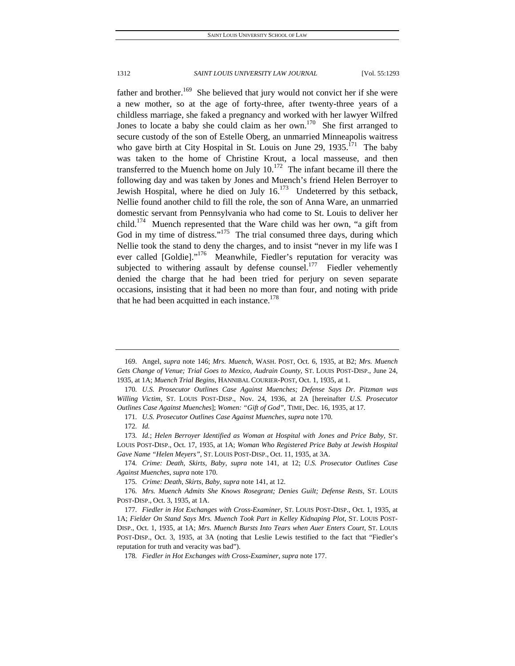father and brother.<sup>169</sup> She believed that jury would not convict her if she were a new mother, so at the age of forty-three, after twenty-three years of a childless marriage, she faked a pregnancy and worked with her lawyer Wilfred Jones to locate a baby she could claim as her own. $170$  She first arranged to secure custody of the son of Estelle Oberg, an unmarried Minneapolis waitress who gave birth at City Hospital in St. Louis on June 29,  $1935$ .<sup>171</sup> The baby was taken to the home of Christine Krout, a local masseuse, and then transferred to the Muench home on July  $10^{172}$  The infant became ill there the following day and was taken by Jones and Muench's friend Helen Berroyer to Jewish Hospital, where he died on July  $16$ <sup>173</sup> Undeterred by this setback, Nellie found another child to fill the role, the son of Anna Ware, an unmarried domestic servant from Pennsylvania who had come to St. Louis to deliver her child.<sup>174</sup> Muench represented that the Ware child was her own, "a gift from God in my time of distress."<sup>175</sup> The trial consumed three days, during which Nellie took the stand to deny the charges, and to insist "never in my life was I ever called [Goldie]."<sup>176</sup> Meanwhile, Fiedler's reputation for veracity was subjected to withering assault by defense counsel.<sup>177</sup> Fiedler vehemently denied the charge that he had been tried for perjury on seven separate occasions, insisting that it had been no more than four, and noting with pride that he had been acquitted in each instance. $178$ 

 <sup>169.</sup> Angel, *supra* note 146; *Mrs. Muench*, WASH. POST, Oct. 6, 1935, at B2; *Mrs. Muench Gets Change of Venue; Trial Goes to Mexico, Audrain County*, ST. LOUIS POST-DISP., June 24, 1935, at 1A; *Muench Trial Begins*, HANNIBAL COURIER-POST, Oct. 1, 1935, at 1.

<sup>170</sup>*. U.S. Prosecutor Outlines Case Against Muenches; Defense Says Dr. Pitzman was Willing Victim*, ST. LOUIS POST-DISP., Nov. 24, 1936, at 2A [hereinafter *U.S. Prosecutor Outlines Case Against Muenches*]; *Women: "Gift of God"*, TIME, Dec. 16, 1935, at 17.

<sup>171</sup>*. U.S. Prosecutor Outlines Case Against Muenches*, *supra* note 170.

<sup>172</sup>*. Id.*

<sup>173</sup>*. Id.*; *Helen Berroyer Identified as Woman at Hospital with Jones and Price Baby*, ST. LOUIS POST-DISP., Oct. 17, 1935, at 1A; *Woman Who Registered Price Baby at Jewish Hospital Gave Name "Helen Meyers"*, ST. LOUIS POST-DISP., Oct. 11, 1935, at 3A.

<sup>174</sup>*. Crime: Death, Skirts, Baby*, *supra* note 141, at 12; *U.S. Prosecutor Outlines Case Against Muenches*, *supra* note 170.

<sup>175</sup>*. Crime: Death, Skirts, Baby*, *supra* note 141, at 12.

<sup>176</sup>*. Mrs. Muench Admits She Knows Rosegrant; Denies Guilt; Defense Rests*, ST. LOUIS POST-DISP., Oct. 3, 1935, at 1A.

<sup>177</sup>*. Fiedler in Hot Exchanges with Cross-Examiner*, ST. LOUIS POST-DISP., Oct. 1, 1935, at 1A; *Fielder On Stand Says Mrs. Muench Took Part in Kelley Kidnaping Plot*, ST. LOUIS POST-DISP., Oct. 1, 1935, at 1A; *Mrs. Muench Bursts Into Tears when Auer Enters Court*, ST. LOUIS POST-DISP., Oct. 3, 1935, at 3A (noting that Leslie Lewis testified to the fact that "Fiedler's reputation for truth and veracity was bad").

<sup>178</sup>*. Fiedler in Hot Exchanges with Cross-Examiner*, *supra* note 177.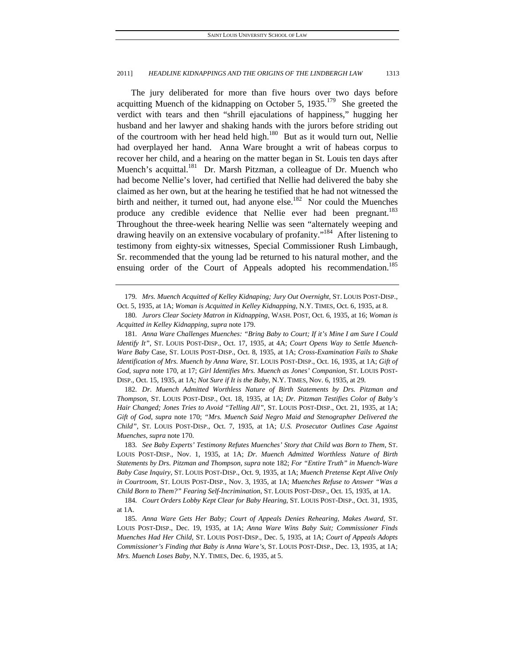The jury deliberated for more than five hours over two days before acquitting Muench of the kidnapping on October 5,  $1935<sup>179</sup>$  She greeted the verdict with tears and then "shrill ejaculations of happiness," hugging her husband and her lawyer and shaking hands with the jurors before striding out of the courtroom with her head held high. $180$  But as it would turn out, Nellie had overplayed her hand. Anna Ware brought a writ of habeas corpus to recover her child, and a hearing on the matter began in St. Louis ten days after Muench's acquittal.<sup>181</sup> Dr. Marsh Pitzman, a colleague of Dr. Muench who had become Nellie's lover, had certified that Nellie had delivered the baby she claimed as her own, but at the hearing he testified that he had not witnessed the birth and neither, it turned out, had anyone else.<sup>182</sup> Nor could the Muenches produce any credible evidence that Nellie ever had been pregnant.<sup>183</sup> Throughout the three-week hearing Nellie was seen "alternately weeping and drawing heavily on an extensive vocabulary of profanity."<sup>184</sup> After listening to testimony from eighty-six witnesses, Special Commissioner Rush Limbaugh, Sr. recommended that the young lad be returned to his natural mother, and the ensuing order of the Court of Appeals adopted his recommendation.<sup>185</sup>

179*. Mrs. Muench Acquitted of Kelley Kidnaping; Jury Out Overnight*, ST. LOUIS POST-DISP., Oct. 5, 1935, at 1A; *Woman is Acquitted in Kelley Kidnapping*, N.Y. TIMES, Oct. 6, 1935, at 8.

181*. Anna Ware Challenges Muenches: "Bring Baby to Court; If it's Mine I am Sure I Could Identify It"*, ST. LOUIS POST-DISP., Oct. 17, 1935, at 4A; *Court Opens Way to Settle Muench-Ware Baby* Case, ST. LOUIS POST-DISP., Oct. 8, 1935, at 1A; *Cross-Examination Fails to Shake Identification of Mrs. Muench by Anna Ware*, ST. LOUIS POST-DISP., Oct. 16, 1935, at 1A; *Gift of God, supra* note 170, at 17; *Girl Identifies Mrs. Muench as Jones' Companion*, ST. LOUIS POST-DISP., Oct. 15, 1935, at 1A; *Not Sure if It is the Baby*, N.Y. TIMES, Nov. 6, 1935, at 29.

182*. Dr. Muench Admitted Worthless Nature of Birth Statements by Drs. Pitzman and Thompson*, ST. LOUIS POST-DISP., Oct. 18, 1935, at 1A; *Dr. Pitzman Testifies Color of Baby's Hair Changed; Jones Tries to Avoid "Telling All"*, ST. LOUIS POST-DISP., Oct. 21, 1935, at 1A; *Gift of God*, *supra* note 170; *"Mrs. Muench Said Negro Maid and Stenographer Delivered the Child"*, ST. LOUIS POST-DISP., Oct. 7, 1935, at 1A; *U.S. Prosecutor Outlines Case Against Muenches*, *supra* note 170.

183*. See Baby Experts' Testimony Refutes Muenches' Story that Child was Born to Them*, ST. LOUIS POST-DISP., Nov. 1, 1935, at 1A; *Dr. Muench Admitted Worthless Nature of Birth Statements by Drs. Pitzman and Thompson*, *supra* note 182; *For "Entire Truth" in Muench-Ware Baby Case Inquiry*, ST. LOUIS POST-DISP., Oct. 9, 1935, at 1A; *Muench Pretense Kept Alive Only in Courtroom*, ST. LOUIS POST-DISP., Nov. 3, 1935, at 1A; *Muenches Refuse to Answer "Was a Child Born to Them?" Fearing Self-Incrimination*, ST. LOUIS POST-DISP., Oct. 15, 1935, at 1A.

<sup>180</sup>*. Jurors Clear Society Matron in Kidnapping*, WASH. POST, Oct. 6, 1935, at 16; *Woman is Acquitted in Kelley Kidnapping*, *supra* note 179.

<sup>184</sup>*. Court Orders Lobby Kept Clear for Baby Hearing*, ST. LOUIS POST-DISP., Oct. 31, 1935, at 1A.

<sup>185</sup>*. Anna Ware Gets Her Baby; Court of Appeals Denies Rehearing, Makes Award*, ST. LOUIS POST-DISP., Dec. 19, 1935, at 1A; *Anna Ware Wins Baby Suit; Commissioner Finds Muenches Had Her Child*, ST. LOUIS POST-DISP., Dec. 5, 1935, at 1A; *Court of Appeals Adopts Commissioner's Finding that Baby is Anna Ware's*, ST. LOUIS POST-DISP., Dec. 13, 1935, at 1A; *Mrs. Muench Loses Baby*, N.Y. TIMES, Dec. 6, 1935, at 5.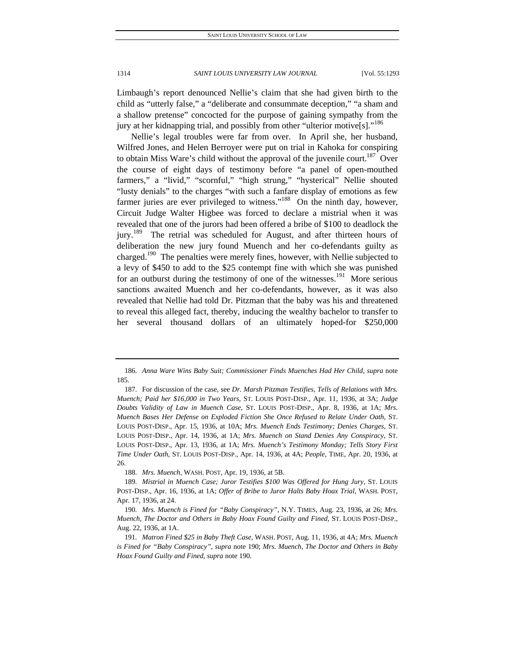Limbaugh's report denounced Nellie's claim that she had given birth to the child as "utterly false," a "deliberate and consummate deception," "a sham and a shallow pretense" concocted for the purpose of gaining sympathy from the jury at her kidnapping trial, and possibly from other "ulterior motive[s]."<sup>186</sup>

Nellie's legal troubles were far from over. In April she, her husband, Wilfred Jones, and Helen Berroyer were put on trial in Kahoka for conspiring to obtain Miss Ware's child without the approval of the juvenile court.<sup>187</sup> Over the course of eight days of testimony before "a panel of open-mouthed farmers," a "livid," "scornful," "high strung," "hysterical" Nellie shouted "lusty denials" to the charges "with such a fanfare display of emotions as few farmer juries are ever privileged to witness."<sup>188</sup> On the ninth day, however, Circuit Judge Walter Higbee was forced to declare a mistrial when it was revealed that one of the jurors had been offered a bribe of \$100 to deadlock the jury.<sup>189</sup> The retrial was scheduled for August, and after thirteen hours of deliberation the new jury found Muench and her co-defendants guilty as charged.<sup>190</sup> The penalties were merely fines, however, with Nellie subjected to a levy of \$450 to add to the \$25 contempt fine with which she was punished for an outburst during the testimony of one of the witnesses.<sup>191</sup> More serious sanctions awaited Muench and her co-defendants, however, as it was also revealed that Nellie had told Dr. Pitzman that the baby was his and threatened to reveal this alleged fact, thereby, inducing the wealthy bachelor to transfer to her several thousand dollars of an ultimately hoped-for \$250,000

<sup>186</sup>*. Anna Ware Wins Baby Suit; Commissioner Finds Muenches Had Her Child*, *supra* note 185.

 <sup>187.</sup> For discussion of the case, see *Dr. Marsh Pitzman Testifies, Tells of Relations with Mrs. Muench; Paid her \$16,000 in Two Years*, ST. LOUIS POST-DISP., Apr. 11, 1936, at 3A; *Judge Doubts Validity of Law in Muench Case*, ST. LOUIS POST-DISP., Apr. 8, 1936, at 1A; *Mrs. Muench Bases Her Defense on Exploded Fiction She Once Refused to Relate Under Oath*, ST. LOUIS POST-DISP., Apr. 15, 1936, at 10A; *Mrs. Muench Ends Testimony; Denies Charges*, ST. LOUIS POST-DISP., Apr. 14, 1936, at 1A; *Mrs. Muench on Stand Denies Any Conspiracy*, ST. LOUIS POST-DISP., Apr. 13, 1936, at 1A; *Mrs. Muench's Testimony Monday; Tells Story First Time Under Oath*, ST. LOUIS POST-DISP., Apr. 14, 1936, at 4A; *People*, TIME, Apr. 20, 1936, at 26.

<sup>188</sup>*. Mrs. Muench*, WASH. POST, Apr. 19, 1936, at 5B.

<sup>189</sup>*. Mistrial in Muench Case; Juror Testifies \$100 Was Offered for Hung Jury*, ST. LOUIS POST-DISP., Apr. 16, 1936, at 1A; *Offer of Bribe to Juror Halts Baby Hoax Trial*, WASH. POST, Apr. 17, 1936, at 24.

<sup>190</sup>*. Mrs. Muench is Fined for "Baby Conspiracy"*, N.Y. TIMES, Aug. 23, 1936, at 26; *Mrs. Muench, The Doctor and Others in Baby Hoax Found Guilty and Fined*, ST. LOUIS POST-DISP., Aug. 22, 1936, at 1A.

<sup>191</sup>*. Matron Fined \$25 in Baby Theft Case*, WASH. POST, Aug. 11, 1936, at 4A; *Mrs. Muench is Fined for "Baby Conspiracy"*, *supra* note 190; *Mrs. Muench, The Doctor and Others in Baby Hoax Found Guilty and Fined*, *supra* note 190.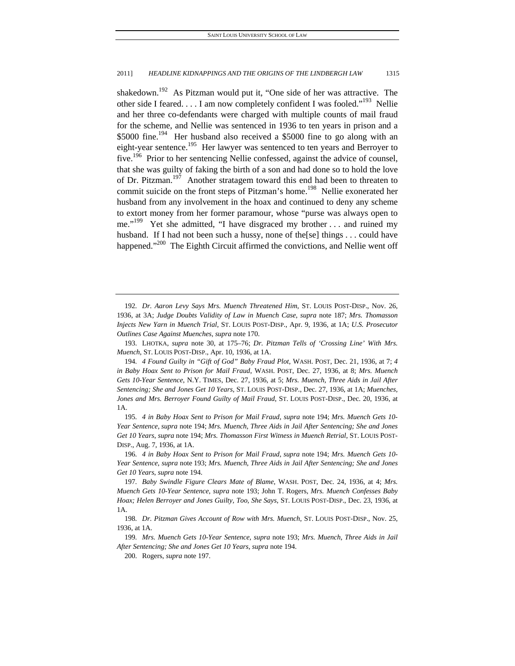shakedown.<sup>192</sup> As Pitzman would put it, "One side of her was attractive. The other side I feared.  $\dots$  I am now completely confident I was fooled."<sup>193</sup> Nellie and her three co-defendants were charged with multiple counts of mail fraud for the scheme, and Nellie was sentenced in 1936 to ten years in prison and a \$5000 fine.<sup>194</sup> Her husband also received a \$5000 fine to go along with an eight-year sentence.<sup>195</sup> Her lawyer was sentenced to ten years and Berroyer to five.<sup>196</sup> Prior to her sentencing Nellie confessed, against the advice of counsel, that she was guilty of faking the birth of a son and had done so to hold the love of Dr. Pitzman.<sup>197</sup> Another stratagem toward this end had been to threaten to commit suicide on the front steps of Pitzman's home.<sup>198</sup> Nellie exonerated her husband from any involvement in the hoax and continued to deny any scheme to extort money from her former paramour, whose "purse was always open to me."<sup>199</sup> Yet she admitted, "I have disgraced my brother ... and ruined my husband. If I had not been such a hussy, none of the [se] things . . . could have happened."<sup>200</sup> The Eighth Circuit affirmed the convictions, and Nellie went off

<sup>192</sup>*. Dr. Aaron Levy Says Mrs. Muench Threatened Him*, ST. LOUIS POST-DISP., Nov. 26, 1936, at 3A; *Judge Doubts Validity of Law in Muench Case*, *supra* note 187; *Mrs. Thomasson Injects New Yarn in Muench Trial*, ST. LOUIS POST-DISP., Apr. 9, 1936, at 1A; *U.S. Prosecutor Outlines Case Against Muenches*, *supra* note 170.

 <sup>193.</sup> LHOTKA, *supra* note 30, at 175–76; *Dr. Pitzman Tells of 'Crossing Line' With Mrs. Muench*, ST. LOUIS POST-DISP., Apr. 10, 1936, at 1A.

<sup>194</sup>*. 4 Found Guilty in "Gift of God" Baby Fraud Plot*, WASH. POST, Dec. 21, 1936, at 7; *4 in Baby Hoax Sent to Prison for Mail Fraud*, WASH. POST, Dec. 27, 1936, at 8; *Mrs. Muench Gets 10-Year Sentence*, N.Y. TIMES, Dec. 27, 1936, at 5; *Mrs. Muench, Three Aids in Jail After Sentencing; She and Jones Get 10 Years*, ST. LOUIS POST-DISP., Dec. 27, 1936, at 1A; *Muenches, Jones and Mrs. Berroyer Found Guilty of Mail Fraud*, ST. LOUIS POST-DISP., Dec. 20, 1936, at 1A.

<sup>195</sup>*. 4 in Baby Hoax Sent to Prison for Mail Fraud*, *supra* note 194; *Mrs. Muench Gets 10- Year Sentence*, *supra* note 194; *Mrs. Muench, Three Aids in Jail After Sentencing; She and Jones Get 10 Years*, *supra* note 194; *Mrs. Thomasson First Witness in Muench Retrial*, ST. LOUIS POST-DISP., Aug. 7, 1936, at 1A.

<sup>196</sup>*. 4 in Baby Hoax Sent to Prison for Mail Fraud*, *supra* note 194; *Mrs. Muench Gets 10- Year Sentence*, *supra* note 193; *Mrs. Muench, Three Aids in Jail After Sentencing; She and Jones Get 10 Years*, *supra* note 194.

<sup>197</sup>*. Baby Swindle Figure Clears Mate of Blame*, WASH. POST, Dec. 24, 1936, at 4; *Mrs. Muench Gets 10-Year Sentence*, *supra* note 193; John T. Rogers, *Mrs. Muench Confesses Baby Hoax; Helen Berroyer and Jones Guilty, Too, She Says*, ST. LOUIS POST-DISP., Dec. 23, 1936, at 1A.

<sup>198</sup>*. Dr. Pitzman Gives Account of Row with Mrs. Muench*, ST. LOUIS POST-DISP., Nov. 25, 1936, at 1A.

<sup>199</sup>*. Mrs. Muench Gets 10-Year Sentence*, *supra* note 193; *Mrs. Muench, Three Aids in Jail After Sentencing; She and Jones Get 10 Years*, *supra* note 194.

 <sup>200.</sup> Rogers, *supra* note 197.